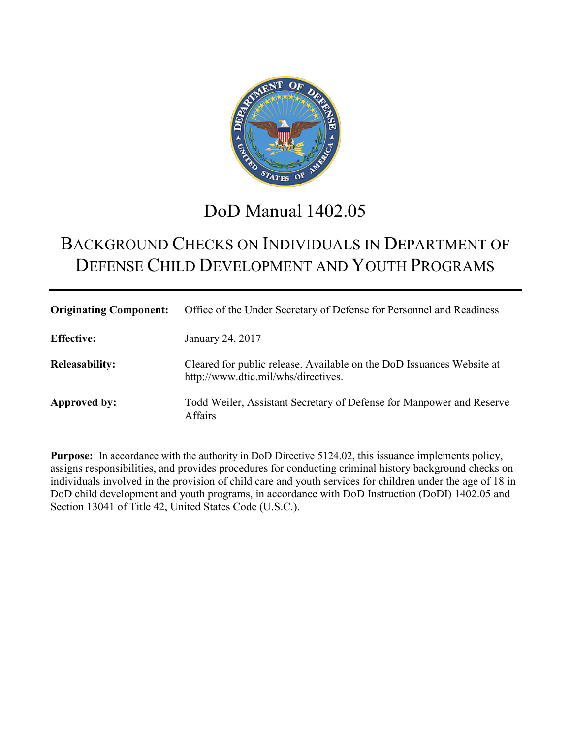

# DoD Manual 1402.05

# BACKGROUND CHECKS ON INDIVIDUALS IN DEPARTMENT OF DEFENSE CHILD DEVELOPMENT AND YOUTH PROGRAMS

| <b>Originating Component:</b> | Office of the Under Secretary of Defense for Personnel and Readiness                                         |
|-------------------------------|--------------------------------------------------------------------------------------------------------------|
| <b>Effective:</b>             | January 24, 2017                                                                                             |
| <b>Releasability:</b>         | Cleared for public release. Available on the DoD Issuances Website at<br>http://www.dtic.mil/whs/directives. |
| <b>Approved by:</b>           | Todd Weiler, Assistant Secretary of Defense for Manpower and Reserve<br><b>Affairs</b>                       |

**Purpose:** In accordance with the authority in DoD Directive 5124.02, this issuance implements policy, assigns responsibilities, and provides procedures for conducting criminal history background checks on individuals involved in the provision of child care and youth services for children under the age of 18 in DoD child development and youth programs, in accordance with DoD Instruction (DoDI) 1402.05 and Section 13041 of Title 42, United States Code (U.S.C.).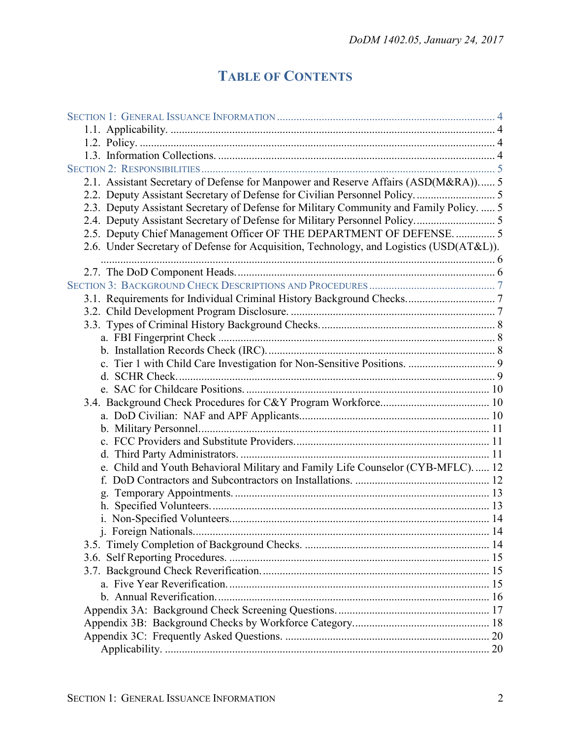# **TABLE OF CONTENTS**

| 2.1. Assistant Secretary of Defense for Manpower and Reserve Affairs (ASD(M&RA)) 5      |  |
|-----------------------------------------------------------------------------------------|--|
|                                                                                         |  |
| 2.3. Deputy Assistant Secretary of Defense for Military Community and Family Policy.  5 |  |
|                                                                                         |  |
| 2.5. Deputy Chief Management Officer OF THE DEPARTMENT OF DEFENSE 5                     |  |
| 2.6. Under Secretary of Defense for Acquisition, Technology, and Logistics (USD(AT&L)). |  |
|                                                                                         |  |
|                                                                                         |  |
|                                                                                         |  |
|                                                                                         |  |
|                                                                                         |  |
|                                                                                         |  |
|                                                                                         |  |
|                                                                                         |  |
|                                                                                         |  |
|                                                                                         |  |
|                                                                                         |  |
|                                                                                         |  |
|                                                                                         |  |
|                                                                                         |  |
|                                                                                         |  |
| e. Child and Youth Behavioral Military and Family Life Counselor (CYB-MFLC) 12          |  |
| f.                                                                                      |  |
| g.                                                                                      |  |
|                                                                                         |  |
|                                                                                         |  |
|                                                                                         |  |
|                                                                                         |  |
|                                                                                         |  |
|                                                                                         |  |
|                                                                                         |  |
|                                                                                         |  |
|                                                                                         |  |
|                                                                                         |  |
|                                                                                         |  |
|                                                                                         |  |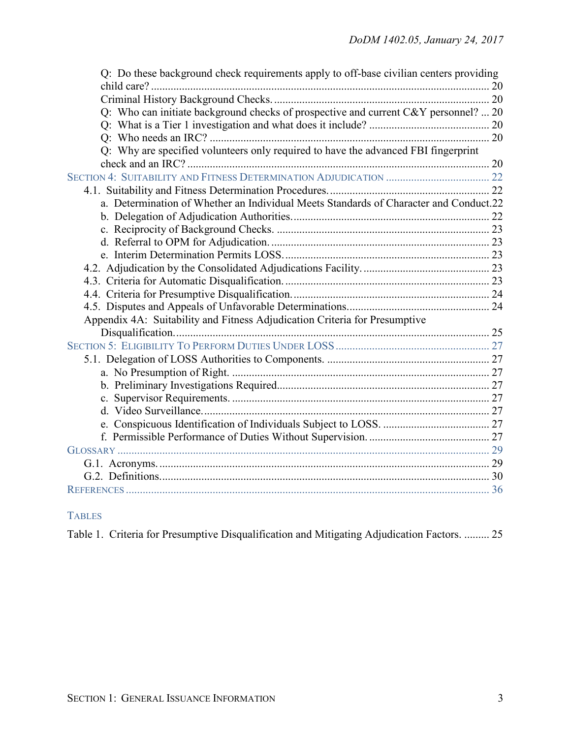| Q: Do these background check requirements apply to off-base civilian centers providing |  |
|----------------------------------------------------------------------------------------|--|
|                                                                                        |  |
| Q: Who can initiate background checks of prospective and current C&Y personnel?  20    |  |
|                                                                                        |  |
|                                                                                        |  |
| Q: Why are specified volunteers only required to have the advanced FBI fingerprint     |  |
|                                                                                        |  |
|                                                                                        |  |
|                                                                                        |  |
| a. Determination of Whether an Individual Meets Standards of Character and Conduct.22  |  |
|                                                                                        |  |
|                                                                                        |  |
|                                                                                        |  |
|                                                                                        |  |
|                                                                                        |  |
|                                                                                        |  |
|                                                                                        |  |
|                                                                                        |  |
| Appendix 4A: Suitability and Fitness Adjudication Criteria for Presumptive             |  |
|                                                                                        |  |
|                                                                                        |  |
|                                                                                        |  |
|                                                                                        |  |
|                                                                                        |  |
|                                                                                        |  |
|                                                                                        |  |
|                                                                                        |  |
|                                                                                        |  |
|                                                                                        |  |
|                                                                                        |  |
|                                                                                        |  |
|                                                                                        |  |

# TABLES

|  |  |  |  |  |  |  |  | Table 1. Criteria for Presumptive Disqualification and Mitigating Adjudication Factors.  25 |  |
|--|--|--|--|--|--|--|--|---------------------------------------------------------------------------------------------|--|
|--|--|--|--|--|--|--|--|---------------------------------------------------------------------------------------------|--|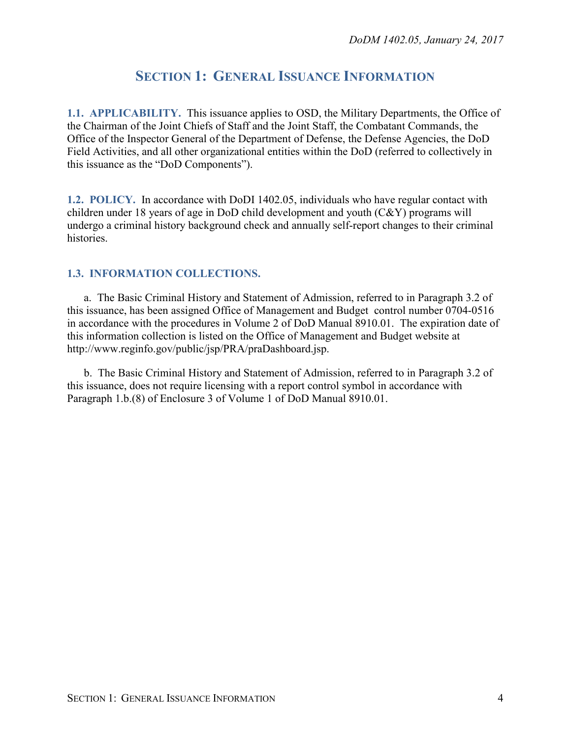# **SECTION 1: GENERAL ISSUANCE INFORMATION**

<span id="page-3-1"></span><span id="page-3-0"></span>**1.1. APPLICABILITY.** This issuance applies to OSD, the Military Departments, the Office of the Chairman of the Joint Chiefs of Staff and the Joint Staff, the Combatant Commands, the Office of the Inspector General of the Department of Defense, the Defense Agencies, the DoD Field Activities, and all other organizational entities within the DoD (referred to collectively in this issuance as the "DoD Components").

<span id="page-3-2"></span>**1.2. POLICY.** In accordance with DoDI 1402.05, individuals who have regular contact with children under 18 years of age in DoD child development and youth (C&Y) programs will undergo a criminal history background check and annually self-report changes to their criminal histories.

## <span id="page-3-3"></span>**1.3. INFORMATION COLLECTIONS.**

a. The Basic Criminal History and Statement of Admission, referred to in Paragraph 3.2 of this issuance, has been assigned Office of Management and Budget control number 0704-0516 in accordance with the procedures in Volume 2 of DoD Manual 8910.01. The expiration date of this information collection is listed on the Office of Management and Budget website at http://www.reginfo.gov/public/jsp/PRA/praDashboard.jsp.

b. The Basic Criminal History and Statement of Admission, referred to in Paragraph 3.2 of this issuance, does not require licensing with a report control symbol in accordance with Paragraph 1.b.(8) of Enclosure 3 of Volume 1 of DoD Manual 8910.01.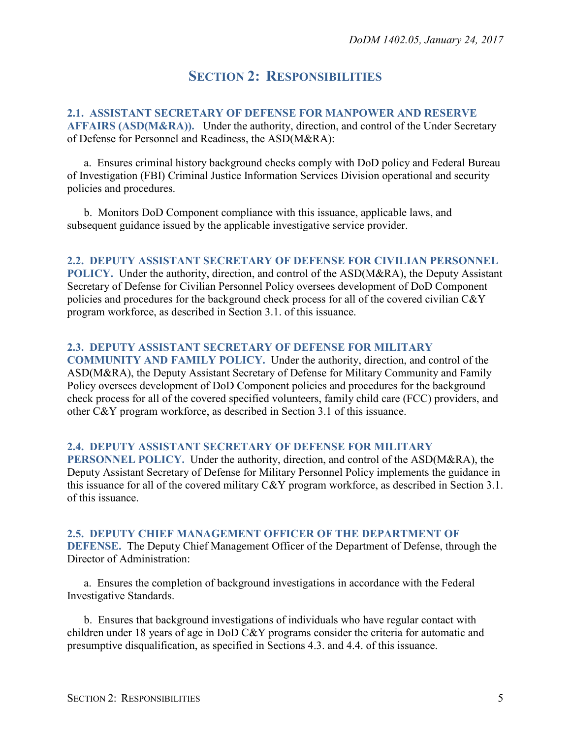# **SECTION 2: RESPONSIBILITIES**

<span id="page-4-1"></span><span id="page-4-0"></span>**2.1. ASSISTANT SECRETARY OF DEFENSE FOR MANPOWER AND RESERVE AFFAIRS (ASD(M&RA)).** Under the authority, direction, and control of the Under Secretary of Defense for Personnel and Readiness, the ASD(M&RA):

a. Ensures criminal history background checks comply with DoD policy and Federal Bureau of Investigation (FBI) Criminal Justice Information Services Division operational and security policies and procedures.

b. Monitors DoD Component compliance with this issuance, applicable laws, and subsequent guidance issued by the applicable investigative service provider.

#### <span id="page-4-2"></span>**2.2. DEPUTY ASSISTANT SECRETARY OF DEFENSE FOR CIVILIAN PERSONNEL**

**POLICY.** Under the authority, direction, and control of the ASD(M&RA), the Deputy Assistant Secretary of Defense for Civilian Personnel Policy oversees development of DoD Component policies and procedures for the background check process for all of the covered civilian C&Y program workforce, as described in Section 3.1. of this issuance.

#### <span id="page-4-3"></span>**2.3. DEPUTY ASSISTANT SECRETARY OF DEFENSE FOR MILITARY**

**COMMUNITY AND FAMILY POLICY.** Under the authority, direction, and control of the ASD(M&RA), the Deputy Assistant Secretary of Defense for Military Community and Family Policy oversees development of DoD Component policies and procedures for the background check process for all of the covered specified volunteers, family child care (FCC) providers, and other C&Y program workforce, as described in Section 3.1 of this issuance.

#### <span id="page-4-4"></span>**2.4. DEPUTY ASSISTANT SECRETARY OF DEFENSE FOR MILITARY**

**PERSONNEL POLICY.** Under the authority, direction, and control of the ASD(M&RA), the Deputy Assistant Secretary of Defense for Military Personnel Policy implements the guidance in this issuance for all of the covered military C&Y program workforce, as described in Section 3.1. of this issuance.

#### <span id="page-4-5"></span>**2.5. DEPUTY CHIEF MANAGEMENT OFFICER OF THE DEPARTMENT OF**

**DEFENSE.** The Deputy Chief Management Officer of the Department of Defense, through the Director of Administration:

a. Ensures the completion of background investigations in accordance with the Federal Investigative Standards.

b. Ensures that background investigations of individuals who have regular contact with children under 18 years of age in DoD C&Y programs consider the criteria for automatic and presumptive disqualification, as specified in Sections 4.3. and 4.4. of this issuance.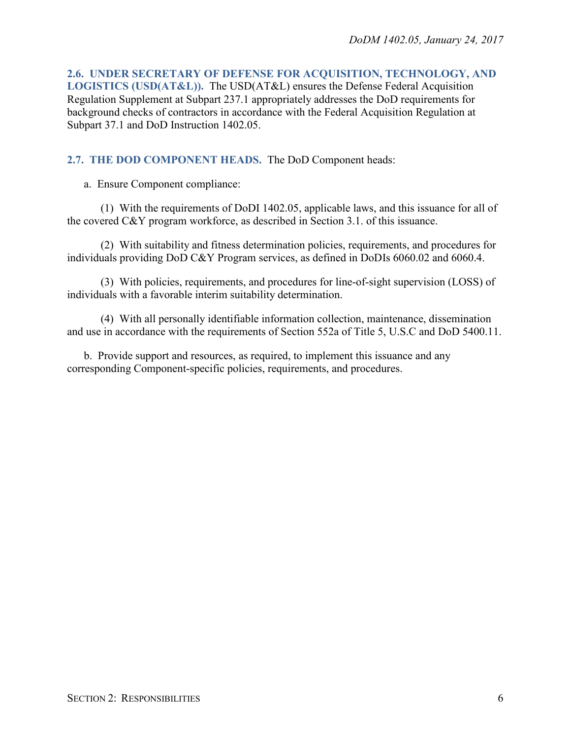<span id="page-5-0"></span>**2.6. UNDER SECRETARY OF DEFENSE FOR ACQUISITION, TECHNOLOGY, AND LOGISTICS (USD(AT&L)).** The USD(AT&L) ensures the Defense Federal Acquisition Regulation Supplement at Subpart 237.1 appropriately addresses the DoD requirements for background checks of contractors in accordance with the Federal Acquisition Regulation at Subpart 37.1 and DoD Instruction 1402.05.

## <span id="page-5-1"></span>**2.7. THE DOD COMPONENT HEADS.** The DoD Component heads:

a. Ensure Component compliance:

(1) With the requirements of DoDI 1402.05, applicable laws, and this issuance for all of the covered C&Y program workforce, as described in Section 3.1. of this issuance.

(2) With suitability and fitness determination policies, requirements, and procedures for individuals providing DoD C&Y Program services, as defined in DoDIs 6060.02 and 6060.4.

(3) With policies, requirements, and procedures for line-of-sight supervision (LOSS) of individuals with a favorable interim suitability determination.

(4) With all personally identifiable information collection, maintenance, dissemination and use in accordance with the requirements of Section 552a of Title 5, U.S.C and DoD 5400.11.

b. Provide support and resources, as required, to implement this issuance and any corresponding Component-specific policies, requirements, and procedures.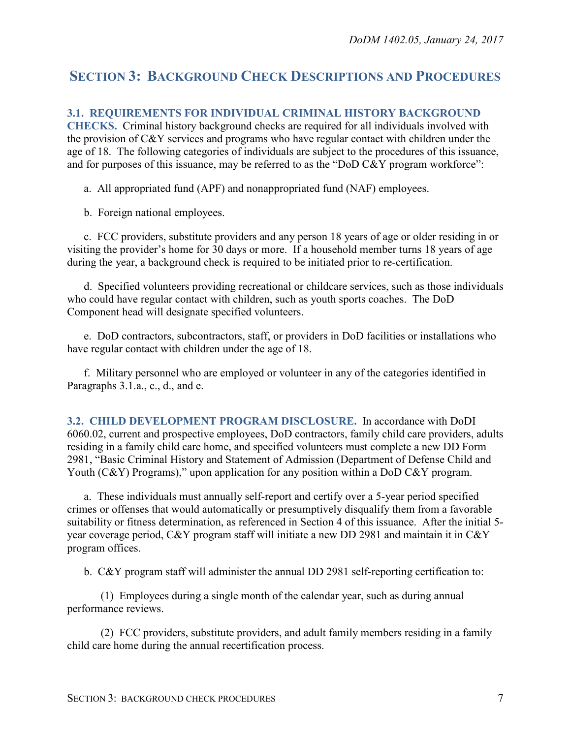# <span id="page-6-0"></span>**SECTION 3: BACKGROUND CHECK DESCRIPTIONS AND PROCEDURES**

### <span id="page-6-1"></span>**3.1. REQUIREMENTS FOR INDIVIDUAL CRIMINAL HISTORY BACKGROUND**

**CHECKS.** Criminal history background checks are required for all individuals involved with the provision of C&Y services and programs who have regular contact with children under the age of 18. The following categories of individuals are subject to the procedures of this issuance, and for purposes of this issuance, may be referred to as the "DoD C&Y program workforce":

a. All appropriated fund (APF) and nonappropriated fund (NAF) employees.

b. Foreign national employees.

c. FCC providers, substitute providers and any person 18 years of age or older residing in or visiting the provider's home for 30 days or more. If a household member turns 18 years of age during the year, a background check is required to be initiated prior to re-certification.

d. Specified volunteers providing recreational or childcare services, such as those individuals who could have regular contact with children, such as youth sports coaches. The DoD Component head will designate specified volunteers.

e. DoD contractors, subcontractors, staff, or providers in DoD facilities or installations who have regular contact with children under the age of 18.

f. Military personnel who are employed or volunteer in any of the categories identified in Paragraphs 3.1.a., c., d., and e.

<span id="page-6-2"></span>**3.2. CHILD DEVELOPMENT PROGRAM DISCLOSURE.** In accordance with DoDI 6060.02, current and prospective employees, DoD contractors, family child care providers, adults residing in a family child care home, and specified volunteers must complete a new DD Form 2981, "Basic Criminal History and Statement of Admission (Department of Defense Child and Youth (C&Y) Programs)," upon application for any position within a DoD C&Y program.

a. These individuals must annually self-report and certify over a 5-year period specified crimes or offenses that would automatically or presumptively disqualify them from a favorable suitability or fitness determination, as referenced in Section 4 of this issuance. After the initial 5 year coverage period, C&Y program staff will initiate a new DD 2981 and maintain it in C&Y program offices.

b. C&Y program staff will administer the annual DD 2981 self-reporting certification to:

(1) Employees during a single month of the calendar year, such as during annual performance reviews.

(2) FCC providers, substitute providers, and adult family members residing in a family child care home during the annual recertification process.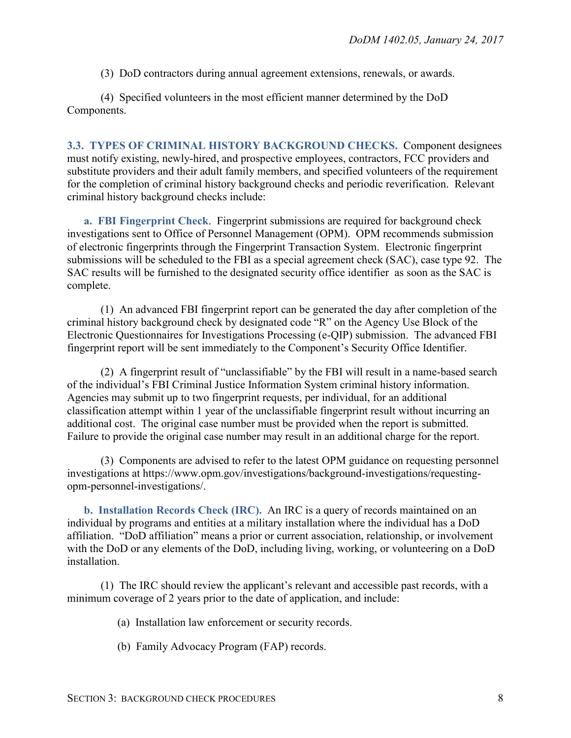(3) DoD contractors during annual agreement extensions, renewals, or awards.

(4) Specified volunteers in the most efficient manner determined by the DoD Components.

<span id="page-7-0"></span>**3.3. TYPES OF CRIMINAL HISTORY BACKGROUND CHECKS.** Component designees must notify existing, newly-hired, and prospective employees, contractors, FCC providers and substitute providers and their adult family members, and specified volunteers of the requirement for the completion of criminal history background checks and periodic reverification. Relevant criminal history background checks include:

<span id="page-7-1"></span>**a. FBI Fingerprint Check**. Fingerprint submissions are required for background check investigations sent to Office of Personnel Management (OPM). OPM recommends submission of electronic fingerprints through the Fingerprint Transaction System. Electronic fingerprint submissions will be scheduled to the FBI as a special agreement check (SAC), case type 92. The SAC results will be furnished to the designated security office identifier as soon as the SAC is complete.

(1) An advanced FBI fingerprint report can be generated the day after completion of the criminal history background check by designated code "R" on the Agency Use Block of the Electronic Questionnaires for Investigations Processing (e-QIP) submission. The advanced FBI fingerprint report will be sent immediately to the Component's Security Office Identifier.

(2) A fingerprint result of "unclassifiable" by the FBI will result in a name-based search of the individual's FBI Criminal Justice Information System criminal history information. Agencies may submit up to two fingerprint requests, per individual, for an additional classification attempt within 1 year of the unclassifiable fingerprint result without incurring an additional cost. The original case number must be provided when the report is submitted. Failure to provide the original case number may result in an additional charge for the report.

(3) Components are advised to refer to the latest OPM guidance on requesting personnel investigations at [https://www.opm.gov/investigations/background-investigations/requesting](https://www.opm.gov/investigations/background-investigations/requesting-opm-personnel-investigations/)[opm-personnel-investigations/.](https://www.opm.gov/investigations/background-investigations/requesting-opm-personnel-investigations/)

<span id="page-7-2"></span>**b. Installation Records Check (IRC).** An IRC is a query of records maintained on an individual by programs and entities at a military installation where the individual has a DoD affiliation. "DoD affiliation" means a prior or current association, relationship, or involvement with the DoD or any elements of the DoD, including living, working, or volunteering on a DoD installation.

(1) The IRC should review the applicant's relevant and accessible past records, with a minimum coverage of 2 years prior to the date of application, and include:

- (a) Installation law enforcement or security records.
- (b) Family Advocacy Program (FAP) records.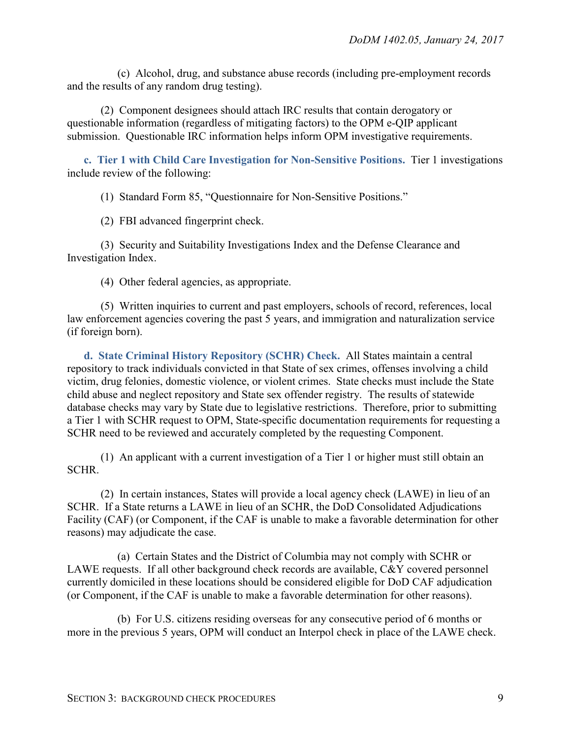(c) Alcohol, drug, and substance abuse records (including pre-employment records and the results of any random drug testing).

(2) Component designees should attach IRC results that contain derogatory or questionable information (regardless of mitigating factors) to the OPM e-QIP applicant submission. Questionable IRC information helps inform OPM investigative requirements.

<span id="page-8-0"></span>**c. Tier 1 with Child Care Investigation for Non-Sensitive Positions.** Tier 1 investigations include review of the following:

(1) Standard Form 85, "Questionnaire for Non-Sensitive Positions."

(2) FBI advanced fingerprint check.

(3) Security and Suitability Investigations Index and the Defense Clearance and Investigation Index.

(4) Other federal agencies, as appropriate.

(5) Written inquiries to current and past employers, schools of record, references, local law enforcement agencies covering the past 5 years, and immigration and naturalization service (if foreign born).

<span id="page-8-1"></span>**d. State Criminal History Repository (SCHR) Check.** All States maintain a central repository to track individuals convicted in that State of sex crimes, offenses involving a child victim, drug felonies, domestic violence, or violent crimes. State checks must include the State child abuse and neglect repository and State sex offender registry. The results of statewide database checks may vary by State due to legislative restrictions. Therefore, prior to submitting a Tier 1 with SCHR request to OPM, State-specific documentation requirements for requesting a SCHR need to be reviewed and accurately completed by the requesting Component.

(1) An applicant with a current investigation of a Tier 1 or higher must still obtain an SCHR.

(2) In certain instances, States will provide a local agency check (LAWE) in lieu of an SCHR. If a State returns a LAWE in lieu of an SCHR, the DoD Consolidated Adjudications Facility (CAF) (or Component, if the CAF is unable to make a favorable determination for other reasons) may adjudicate the case.

(a) Certain States and the District of Columbia may not comply with SCHR or LAWE requests. If all other background check records are available, C&Y covered personnel currently domiciled in these locations should be considered eligible for DoD CAF adjudication (or Component, if the CAF is unable to make a favorable determination for other reasons).

(b) For U.S. citizens residing overseas for any consecutive period of 6 months or more in the previous 5 years, OPM will conduct an Interpol check in place of the LAWE check.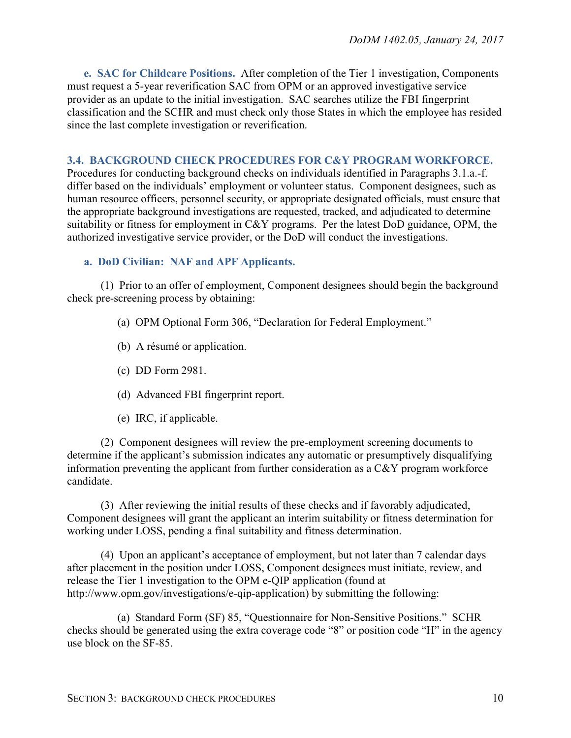<span id="page-9-0"></span>**e. SAC for Childcare Positions.** After completion of the Tier 1 investigation, Components must request a 5-year reverification SAC from OPM or an approved investigative service provider as an update to the initial investigation. SAC searches utilize the FBI fingerprint classification and the SCHR and must check only those States in which the employee has resided since the last complete investigation or reverification.

#### <span id="page-9-1"></span>**3.4. BACKGROUND CHECK PROCEDURES FOR C&Y PROGRAM WORKFORCE.**

Procedures for conducting background checks on individuals identified in Paragraphs 3.1.a.-f. differ based on the individuals' employment or volunteer status. Component designees, such as human resource officers, personnel security, or appropriate designated officials, must ensure that the appropriate background investigations are requested, tracked, and adjudicated to determine suitability or fitness for employment in C&Y programs. Per the latest DoD guidance, OPM, the authorized investigative service provider, or the DoD will conduct the investigations.

#### <span id="page-9-2"></span>**a. DoD Civilian: NAF and APF Applicants.**

(1) Prior to an offer of employment, Component designees should begin the background check pre-screening process by obtaining:

- (a) OPM Optional Form 306, "Declaration for Federal Employment."
- (b) A résumé or application.
- (c) DD Form 2981.
- (d) Advanced FBI fingerprint report.
- (e) IRC, if applicable.

(2) Component designees will review the pre-employment screening documents to determine if the applicant's submission indicates any automatic or presumptively disqualifying information preventing the applicant from further consideration as a C&Y program workforce candidate.

(3) After reviewing the initial results of these checks and if favorably adjudicated, Component designees will grant the applicant an interim suitability or fitness determination for working under LOSS, pending a final suitability and fitness determination.

(4) Upon an applicant's acceptance of employment, but not later than 7 calendar days after placement in the position under LOSS, Component designees must initiate, review, and release the Tier 1 investigation to the OPM e-QIP application (found at http://www.opm.gov/investigations/e-qip-application) by submitting the following:

(a) Standard Form (SF) 85, "Questionnaire for Non-Sensitive Positions." SCHR checks should be generated using the extra coverage code "8" or position code "H" in the agency use block on the SF-85.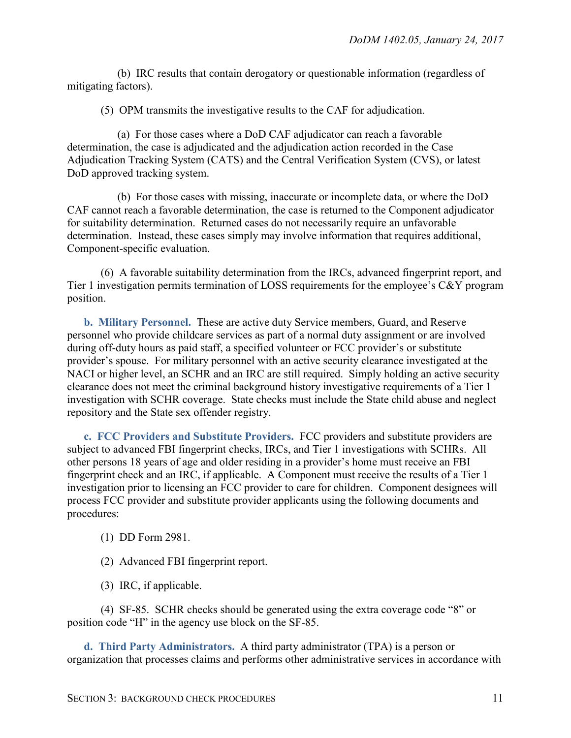(b) IRC results that contain derogatory or questionable information (regardless of mitigating factors).

(5) OPM transmits the investigative results to the CAF for adjudication.

(a) For those cases where a DoD CAF adjudicator can reach a favorable determination, the case is adjudicated and the adjudication action recorded in the Case Adjudication Tracking System (CATS) and the Central Verification System (CVS), or latest DoD approved tracking system.

(b) For those cases with missing, inaccurate or incomplete data, or where the DoD CAF cannot reach a favorable determination, the case is returned to the Component adjudicator for suitability determination. Returned cases do not necessarily require an unfavorable determination. Instead, these cases simply may involve information that requires additional, Component-specific evaluation.

(6) A favorable suitability determination from the IRCs, advanced fingerprint report, and Tier 1 investigation permits termination of LOSS requirements for the employee's C&Y program position.

<span id="page-10-0"></span>**b. Military Personnel.** These are active duty Service members, Guard, and Reserve personnel who provide childcare services as part of a normal duty assignment or are involved during off-duty hours as paid staff, a specified volunteer or FCC provider's or substitute provider's spouse. For military personnel with an active security clearance investigated at the NACI or higher level, an SCHR and an IRC are still required. Simply holding an active security clearance does not meet the criminal background history investigative requirements of a Tier 1 investigation with SCHR coverage. State checks must include the State child abuse and neglect repository and the State sex offender registry.

<span id="page-10-1"></span>**c. FCC Providers and Substitute Providers.** FCC providers and substitute providers are subject to advanced FBI fingerprint checks, IRCs, and Tier 1 investigations with SCHRs. All other persons 18 years of age and older residing in a provider's home must receive an FBI fingerprint check and an IRC, if applicable. A Component must receive the results of a Tier 1 investigation prior to licensing an FCC provider to care for children. Component designees will process FCC provider and substitute provider applicants using the following documents and procedures:

(1) DD Form 2981.

(2) Advanced FBI fingerprint report.

(3) IRC, if applicable.

(4) SF-85. SCHR checks should be generated using the extra coverage code "8" or position code "H" in the agency use block on the SF-85.

<span id="page-10-2"></span>**d. Third Party Administrators.** A third party administrator (TPA) is a person or organization that processes claims and performs other administrative services in accordance with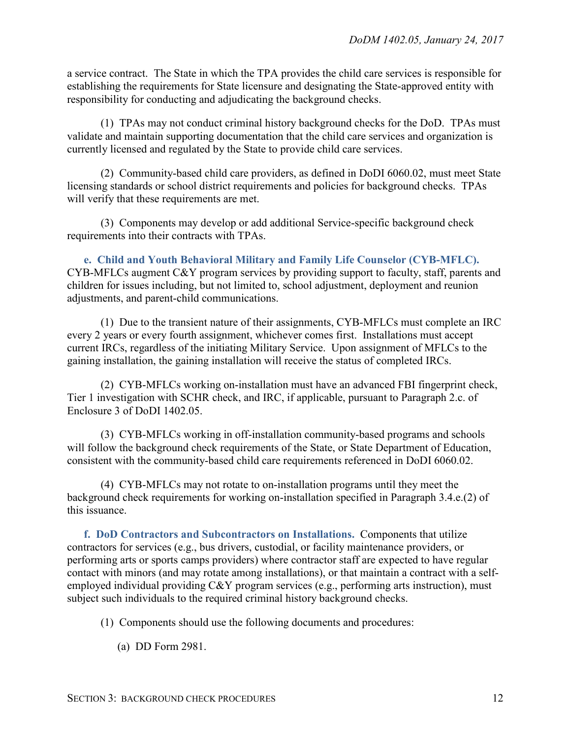a service contract. The State in which the TPA provides the child care services is responsible for establishing the requirements for State licensure and designating the State-approved entity with responsibility for conducting and adjudicating the background checks.

(1) TPAs may not conduct criminal history background checks for the DoD. TPAs must validate and maintain supporting documentation that the child care services and organization is currently licensed and regulated by the State to provide child care services.

(2) Community-based child care providers, as defined in DoDI 6060.02, must meet State licensing standards or school district requirements and policies for background checks. TPAs will verify that these requirements are met.

(3) Components may develop or add additional Service-specific background check requirements into their contracts with TPAs.

<span id="page-11-0"></span>**e. Child and Youth Behavioral Military and Family Life Counselor (CYB-MFLC).** CYB-MFLCs augment C&Y program services by providing support to faculty, staff, parents and children for issues including, but not limited to, school adjustment, deployment and reunion adjustments, and parent-child communications.

(1) Due to the transient nature of their assignments, CYB-MFLCs must complete an IRC every 2 years or every fourth assignment, whichever comes first. Installations must accept current IRCs, regardless of the initiating Military Service. Upon assignment of MFLCs to the gaining installation, the gaining installation will receive the status of completed IRCs.

(2) CYB-MFLCs working on-installation must have an advanced FBI fingerprint check, Tier 1 investigation with SCHR check, and IRC, if applicable, pursuant to Paragraph 2.c. of Enclosure 3 of DoDI 1402.05.

(3) CYB-MFLCs working in off-installation community-based programs and schools will follow the background check requirements of the State, or State Department of Education, consistent with the community-based child care requirements referenced in DoDI 6060.02.

(4) CYB-MFLCs may not rotate to on-installation programs until they meet the background check requirements for working on-installation specified in Paragraph 3.4.e.(2) of this issuance.

<span id="page-11-1"></span>**f. DoD Contractors and Subcontractors on Installations.** Components that utilize contractors for services (e.g., bus drivers, custodial, or facility maintenance providers, or performing arts or sports camps providers) where contractor staff are expected to have regular contact with minors (and may rotate among installations), or that maintain a contract with a selfemployed individual providing C&Y program services (e.g., performing arts instruction), must subject such individuals to the required criminal history background checks.

(1) Components should use the following documents and procedures:

(a) DD Form 2981.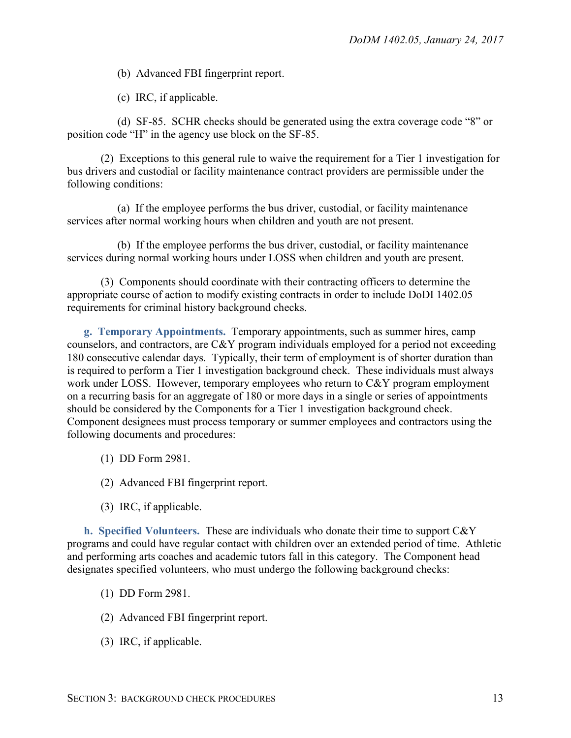(b) Advanced FBI fingerprint report.

(c) IRC, if applicable.

(d) SF-85. SCHR checks should be generated using the extra coverage code "8" or position code "H" in the agency use block on the SF-85.

(2) Exceptions to this general rule to waive the requirement for a Tier 1 investigation for bus drivers and custodial or facility maintenance contract providers are permissible under the following conditions:

(a) If the employee performs the bus driver, custodial, or facility maintenance services after normal working hours when children and youth are not present.

(b) If the employee performs the bus driver, custodial, or facility maintenance services during normal working hours under LOSS when children and youth are present.

(3) Components should coordinate with their contracting officers to determine the appropriate course of action to modify existing contracts in order to include DoDI 1402.05 requirements for criminal history background checks.

<span id="page-12-0"></span>**g. Temporary Appointments.** Temporary appointments, such as summer hires, camp counselors, and contractors, are C&Y program individuals employed for a period not exceeding 180 consecutive calendar days. Typically, their term of employment is of shorter duration than is required to perform a Tier 1 investigation background check. These individuals must always work under LOSS. However, temporary employees who return to C&Y program employment on a recurring basis for an aggregate of 180 or more days in a single or series of appointments should be considered by the Components for a Tier 1 investigation background check. Component designees must process temporary or summer employees and contractors using the following documents and procedures:

- (1) DD Form 2981.
- (2) Advanced FBI fingerprint report.
- (3) IRC, if applicable.

<span id="page-12-1"></span>**h. Specified Volunteers.** These are individuals who donate their time to support C&Y programs and could have regular contact with children over an extended period of time. Athletic and performing arts coaches and academic tutors fall in this category. The Component head designates specified volunteers, who must undergo the following background checks:

- (1) DD Form 2981.
- (2) Advanced FBI fingerprint report.
- (3) IRC, if applicable.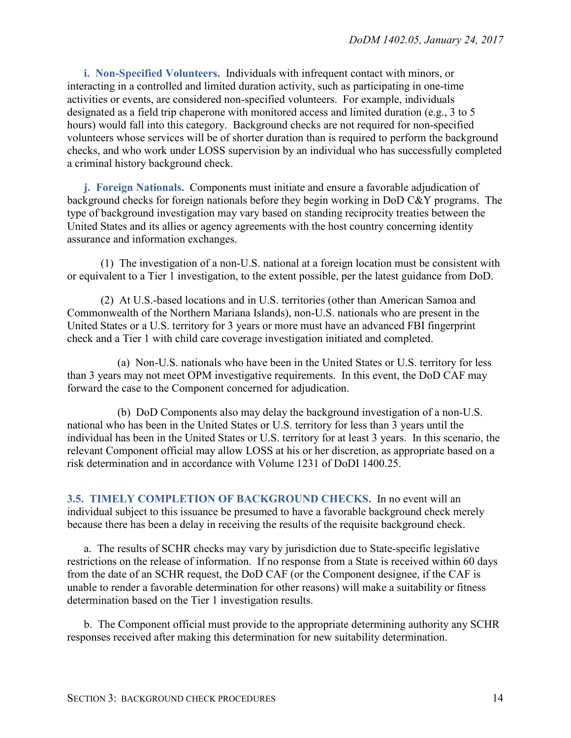<span id="page-13-0"></span>**i. Non-Specified Volunteers.** Individuals with infrequent contact with minors, or interacting in a controlled and limited duration activity, such as participating in one-time activities or events, are considered non-specified volunteers. For example, individuals designated as a field trip chaperone with monitored access and limited duration (e.g., 3 to 5 hours) would fall into this category. Background checks are not required for non-specified volunteers whose services will be of shorter duration than is required to perform the background checks, and who work under LOSS supervision by an individual who has successfully completed a criminal history background check.

<span id="page-13-1"></span>**j. Foreign Nationals.** Components must initiate and ensure a favorable adjudication of background checks for foreign nationals before they begin working in DoD C&Y programs. The type of background investigation may vary based on standing reciprocity treaties between the United States and its allies or agency agreements with the host country concerning identity assurance and information exchanges.

(1) The investigation of a non-U.S. national at a foreign location must be consistent with or equivalent to a Tier 1 investigation, to the extent possible, per the latest guidance from DoD.

(2) At U.S.-based locations and in U.S. territories (other than American Samoa and Commonwealth of the Northern Mariana Islands), non-U.S. nationals who are present in the United States or a U.S. territory for 3 years or more must have an advanced FBI fingerprint check and a Tier 1 with child care coverage investigation initiated and completed.

(a) Non-U.S. nationals who have been in the United States or U.S. territory for less than 3 years may not meet OPM investigative requirements. In this event, the DoD CAF may forward the case to the Component concerned for adjudication.

(b) DoD Components also may delay the background investigation of a non-U.S. national who has been in the United States or U.S. territory for less than 3 years until the individual has been in the United States or U.S. territory for at least 3 years. In this scenario, the relevant Component official may allow LOSS at his or her discretion, as appropriate based on a risk determination and in accordance with Volume 1231 of DoDI 1400.25.

<span id="page-13-2"></span>**3.5. TIMELY COMPLETION OF BACKGROUND CHECKS.** In no event will an individual subject to this issuance be presumed to have a favorable background check merely because there has been a delay in receiving the results of the requisite background check.

a. The results of SCHR checks may vary by jurisdiction due to State-specific legislative restrictions on the release of information. If no response from a State is received within 60 days from the date of an SCHR request, the DoD CAF (or the Component designee, if the CAF is unable to render a favorable determination for other reasons) will make a suitability or fitness determination based on the Tier 1 investigation results.

b. The Component official must provide to the appropriate determining authority any SCHR responses received after making this determination for new suitability determination.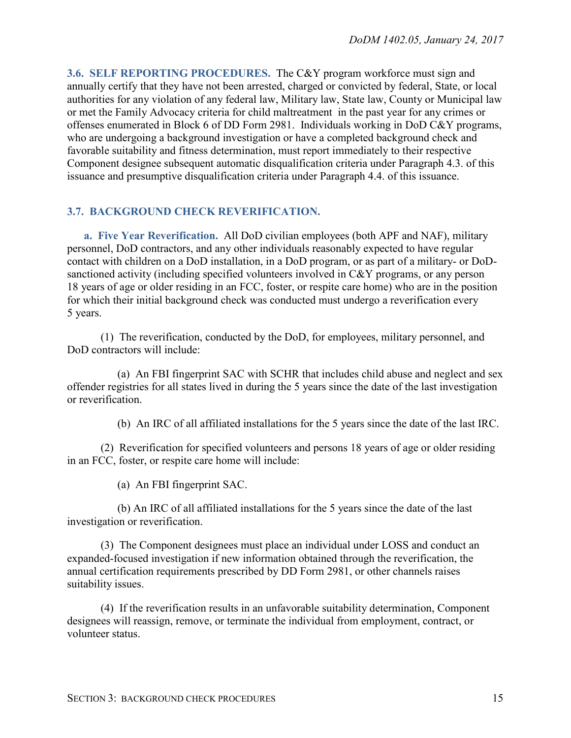<span id="page-14-0"></span>**3.6. SELF REPORTING PROCEDURES.** The C&Y program workforce must sign and annually certify that they have not been arrested, charged or convicted by federal, State, or local authorities for any violation of any federal law, Military law, State law, County or Municipal law or met the Family Advocacy criteria for child maltreatment in the past year for any crimes or offenses enumerated in Block 6 of DD Form 2981. Individuals working in DoD C&Y programs, who are undergoing a background investigation or have a completed background check and favorable suitability and fitness determination, must report immediately to their respective Component designee subsequent automatic disqualification criteria under Paragraph 4.3. of this issuance and presumptive disqualification criteria under Paragraph 4.4. of this issuance.

## <span id="page-14-1"></span>**3.7. BACKGROUND CHECK REVERIFICATION.**

<span id="page-14-2"></span>**a. Five Year Reverification.** All DoD civilian employees (both APF and NAF), military personnel, DoD contractors, and any other individuals reasonably expected to have regular contact with children on a DoD installation, in a DoD program, or as part of a military- or DoDsanctioned activity (including specified volunteers involved in C&Y programs, or any person 18 years of age or older residing in an FCC, foster, or respite care home) who are in the position for which their initial background check was conducted must undergo a reverification every 5 years.

(1) The reverification, conducted by the DoD, for employees, military personnel, and DoD contractors will include:

(a) An FBI fingerprint SAC with SCHR that includes child abuse and neglect and sex offender registries for all states lived in during the 5 years since the date of the last investigation or reverification.

(b) An IRC of all affiliated installations for the 5 years since the date of the last IRC.

(2) Reverification for specified volunteers and persons 18 years of age or older residing in an FCC, foster, or respite care home will include:

(a) An FBI fingerprint SAC.

(b) An IRC of all affiliated installations for the 5 years since the date of the last investigation or reverification.

(3) The Component designees must place an individual under LOSS and conduct an expanded-focused investigation if new information obtained through the reverification, the annual certification requirements prescribed by DD Form 2981, or other channels raises suitability issues.

(4) If the reverification results in an unfavorable suitability determination, Component designees will reassign, remove, or terminate the individual from employment, contract, or volunteer status.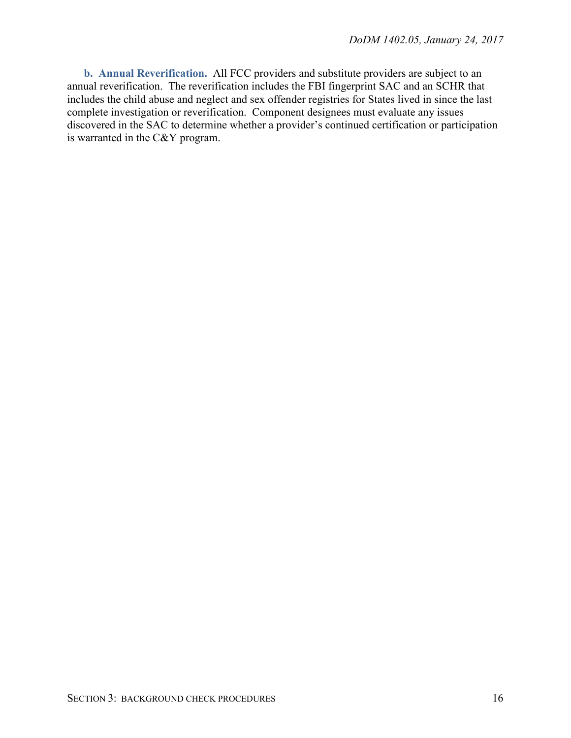<span id="page-15-0"></span>**b. Annual Reverification.** All FCC providers and substitute providers are subject to an annual reverification. The reverification includes the FBI fingerprint SAC and an SCHR that includes the child abuse and neglect and sex offender registries for States lived in since the last complete investigation or reverification. Component designees must evaluate any issues discovered in the SAC to determine whether a provider's continued certification or participation is warranted in the C&Y program.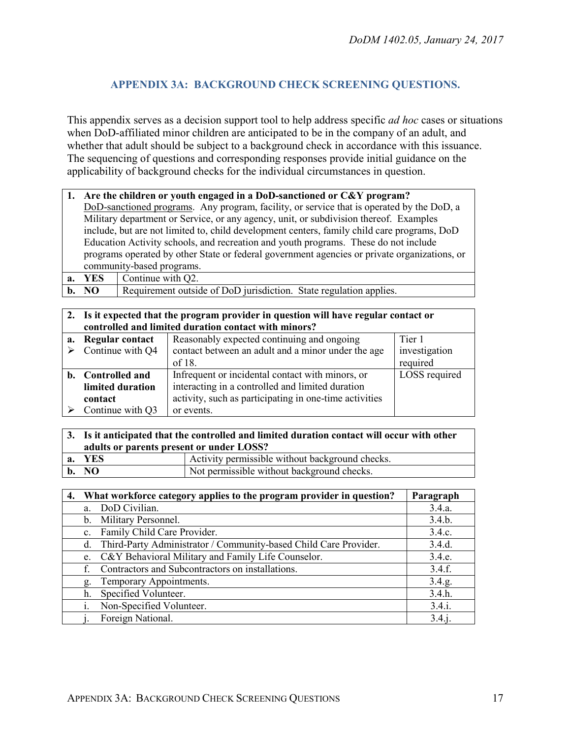## <span id="page-16-0"></span>**APPENDIX 3A: BACKGROUND CHECK SCREENING QUESTIONS.**

This appendix serves as a decision support tool to help address specific *ad hoc* cases or situations when DoD-affiliated minor children are anticipated to be in the company of an adult, and whether that adult should be subject to a background check in accordance with this issuance. The sequencing of questions and corresponding responses provide initial guidance on the applicability of background checks for the individual circumstances in question.

|                                                                                              | 1. Are the children or youth engaged in a DoD-sanctioned or C&Y program?                    |  |  |  |
|----------------------------------------------------------------------------------------------|---------------------------------------------------------------------------------------------|--|--|--|
|                                                                                              | DoD-sanctioned programs. Any program, facility, or service that is operated by the DoD, a   |  |  |  |
|                                                                                              | Military department or Service, or any agency, unit, or subdivision thereof. Examples       |  |  |  |
|                                                                                              | include, but are not limited to, child development centers, family child care programs, DoD |  |  |  |
|                                                                                              | Education Activity schools, and recreation and youth programs. These do not include         |  |  |  |
| programs operated by other State or federal government agencies or private organizations, or |                                                                                             |  |  |  |
|                                                                                              | community-based programs.                                                                   |  |  |  |
|                                                                                              | <b>a.</b> YES $\vert$ Continue with Q2.                                                     |  |  |  |

| b. NO |  |  |  |  |  | Requirement outside of DoD jurisdiction. State regulation applies. |  |  |  |
|-------|--|--|--|--|--|--------------------------------------------------------------------|--|--|--|
|-------|--|--|--|--|--|--------------------------------------------------------------------|--|--|--|

|    | 2. Is it expected that the program provider in question will have regular contact or |                                                        |               |  |  |  |  |
|----|--------------------------------------------------------------------------------------|--------------------------------------------------------|---------------|--|--|--|--|
|    |                                                                                      | controlled and limited duration contact with minors?   |               |  |  |  |  |
| a. | Tier 1<br>Reasonably expected continuing and ongoing<br><b>Regular contact</b>       |                                                        |               |  |  |  |  |
|    | Continue with Q4                                                                     | contact between an adult and a minor under the age     | investigation |  |  |  |  |
|    |                                                                                      | of 18.                                                 | required      |  |  |  |  |
| b. | <b>Controlled and</b>                                                                | Infrequent or incidental contact with minors, or       | LOSS required |  |  |  |  |
|    | limited duration                                                                     | interacting in a controlled and limited duration       |               |  |  |  |  |
|    | contact                                                                              | activity, such as participating in one-time activities |               |  |  |  |  |
|    | Continue with Q3                                                                     | or events.                                             |               |  |  |  |  |

| 3. Is it anticipated that the controlled and limited duration contact will occur with other |                                                 |  |  |  |  |
|---------------------------------------------------------------------------------------------|-------------------------------------------------|--|--|--|--|
| adults or parents present or under LOSS?                                                    |                                                 |  |  |  |  |
| a. YES                                                                                      | Activity permissible without background checks. |  |  |  |  |
| $\mathbf{b}$ . NO                                                                           | Not permissible without background checks.      |  |  |  |  |

| 4. |             | What workforce category applies to the program provider in question? | Paragraph |
|----|-------------|----------------------------------------------------------------------|-----------|
|    | a.          | DoD Civilian.                                                        | 3.4.a.    |
|    | $b_{-}$     | Military Personnel.                                                  | 3.4.b.    |
|    | $c_{\cdot}$ | Family Child Care Provider.                                          | 3.4.c.    |
|    | d.          | Third-Party Administrator / Community-based Child Care Provider.     | 3.4.d.    |
|    | e.          | C&Y Behavioral Military and Family Life Counselor.                   | 3.4.e.    |
|    |             | Contractors and Subcontractors on installations.                     | 3.4.f.    |
|    | g.          | Temporary Appointments.                                              | 3.4.g.    |
|    | h.          | Specified Volunteer.                                                 | 3.4.h.    |
|    |             | Non-Specified Volunteer.                                             | 3.4.i.    |
|    |             | Foreign National.                                                    | 3.4 i.    |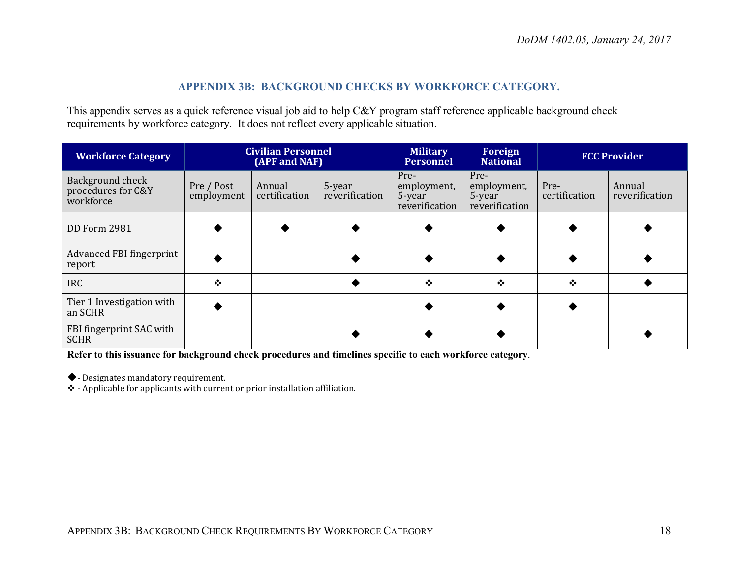#### **APPENDIX 3B: BACKGROUND CHECKS BY WORKFORCE CATEGORY.**

This appendix serves as a quick reference visual job aid to help C&Y program staff reference applicable background check requirements by workforce category. It does not reflect every applicable situation.

<span id="page-17-0"></span>

| <b>Workforce Category</b>                           | <b>Civilian Personnel</b><br>(APF and NAF) |                         |                          | <b>Military</b><br><b>Personnel</b>             | Foreign<br><b>National</b>                      |                       | <b>FCC Provider</b>      |
|-----------------------------------------------------|--------------------------------------------|-------------------------|--------------------------|-------------------------------------------------|-------------------------------------------------|-----------------------|--------------------------|
| Background check<br>procedures for C&Y<br>workforce | Pre / Post<br>employment                   | Annual<br>certification | 5-year<br>reverification | Pre-<br>employment,<br>5-year<br>reverification | Pre-<br>employment,<br>5-year<br>reverification | Pre-<br>certification | Annual<br>reverification |
| DD Form 2981                                        |                                            |                         |                          |                                                 |                                                 |                       |                          |
| Advanced FBI fingerprint<br>report                  |                                            |                         |                          |                                                 |                                                 |                       |                          |
| <b>IRC</b>                                          | ❖                                          |                         |                          | $\cdot$                                         | $\bullet^{\bullet}_{\bullet} \bullet$           | $\bullet$             |                          |
| Tier 1 Investigation with<br>an SCHR                |                                            |                         |                          |                                                 |                                                 |                       |                          |
| FBI fingerprint SAC with<br><b>SCHR</b>             |                                            |                         |                          |                                                 |                                                 |                       |                          |

**Refer to this issuance for background check procedures and timelines specific to each workforce category**.

- Designates mandatory requirement.

- Applicable for applicants with current or prior installation affiliation.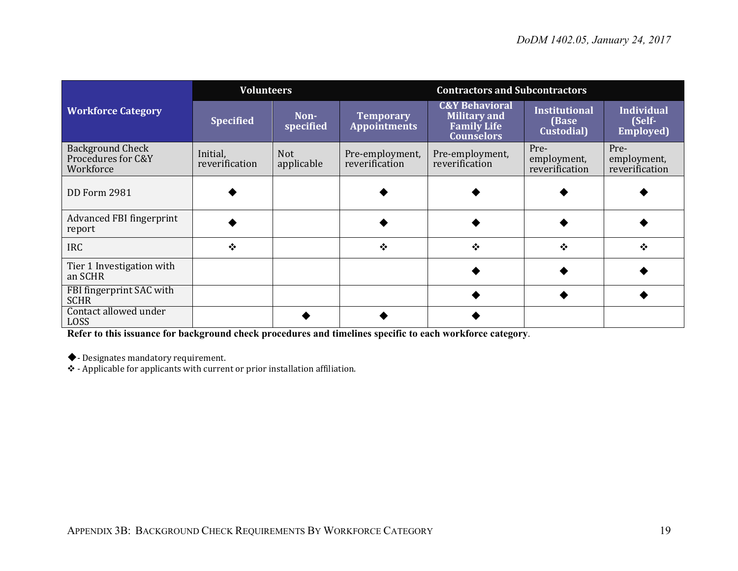|                                                            | <b>Volunteers</b>          |                          |                                         | <b>Contractors and Subcontractors</b>                                                       |                                             |                                           |
|------------------------------------------------------------|----------------------------|--------------------------|-----------------------------------------|---------------------------------------------------------------------------------------------|---------------------------------------------|-------------------------------------------|
| <b>Workforce Category</b>                                  | <b>Specified</b>           | Non-<br>specified        | <b>Temporary</b><br><b>Appointments</b> | <b>C&amp;Y Behavioral</b><br><b>Military and</b><br><b>Family Life</b><br><b>Counselors</b> | <b>Institutional</b><br>(Base<br>Custodial) | Individual<br>(Self-<br><b>Employed</b> ) |
| <b>Background Check</b><br>Procedures for C&Y<br>Workforce | Initial,<br>reverification | <b>Not</b><br>applicable | Pre-employment,<br>reverification       | Pre-employment,<br>reverification                                                           | Pre-<br>employment,<br>reverification       | Pre-<br>employment,<br>reverification     |
| <b>DD Form 2981</b>                                        |                            |                          |                                         |                                                                                             |                                             |                                           |
| <b>Advanced FBI fingerprint</b><br>report                  |                            |                          |                                         |                                                                                             |                                             |                                           |
| <b>IRC</b>                                                 | $\bullet$                  |                          | ❖                                       | $\cdot$                                                                                     | ❖                                           | $\bullet$                                 |
| Tier 1 Investigation with<br>an SCHR                       |                            |                          |                                         |                                                                                             |                                             |                                           |
| FBI fingerprint SAC with<br><b>SCHR</b>                    |                            |                          |                                         |                                                                                             |                                             |                                           |
| Contact allowed under<br><b>LOSS</b>                       |                            |                          |                                         |                                                                                             |                                             |                                           |

**Refer to this issuance for background check procedures and timelines specific to each workforce category**.

- Designates mandatory requirement.

 $\clubsuit$  - Applicable for applicants with current or prior installation affiliation.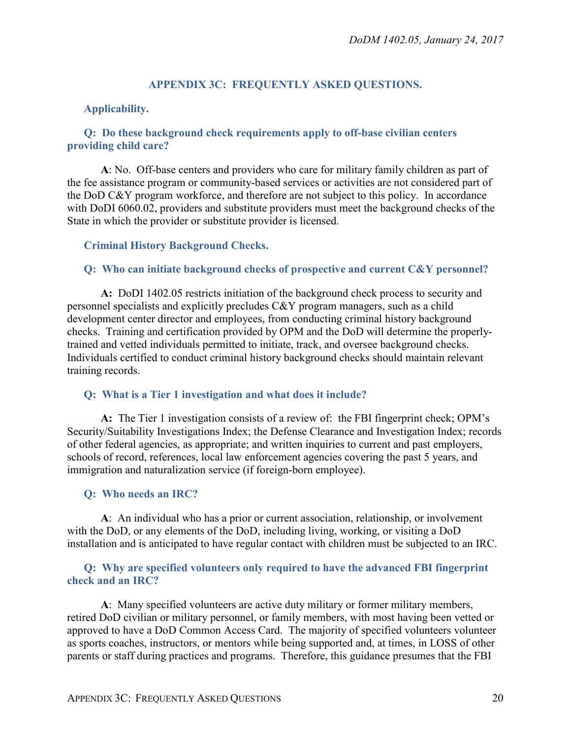### **APPENDIX 3C: FREQUENTLY ASKED QUESTIONS.**

#### <span id="page-19-1"></span><span id="page-19-0"></span>**Applicability.**

#### <span id="page-19-2"></span>**Q: Do these background check requirements apply to off-base civilian centers providing child care?**

**A**: No. Off-base centers and providers who care for military family children as part of the fee assistance program or community-based services or activities are not considered part of the DoD C&Y program workforce, and therefore are not subject to this policy. In accordance with DoDI 6060.02, providers and substitute providers must meet the background checks of the State in which the provider or substitute provider is licensed.

#### <span id="page-19-3"></span>**Criminal History Background Checks.**

#### <span id="page-19-4"></span>**Q: Who can initiate background checks of prospective and current C&Y personnel?**

**A:** DoDI 1402.05 restricts initiation of the background check process to security and personnel specialists and explicitly precludes C&Y program managers, such as a child development center director and employees, from conducting criminal history background checks. Training and certification provided by OPM and the DoD will determine the properlytrained and vetted individuals permitted to initiate, track, and oversee background checks. Individuals certified to conduct criminal history background checks should maintain relevant training records.

#### <span id="page-19-5"></span>**Q: What is a Tier 1 investigation and what does it include?**

**A:** The Tier 1 investigation consists of a review of: the FBI fingerprint check; OPM's Security/Suitability Investigations Index; the Defense Clearance and Investigation Index; records of other federal agencies, as appropriate; and written inquiries to current and past employers, schools of record, references, local law enforcement agencies covering the past 5 years, and immigration and naturalization service (if foreign-born employee).

#### <span id="page-19-6"></span>**Q: Who needs an IRC?**

**A**: An individual who has a prior or current association, relationship, or involvement with the DoD, or any elements of the DoD, including living, working, or visiting a DoD installation and is anticipated to have regular contact with children must be subjected to an IRC.

#### <span id="page-19-7"></span>**Q: Why are specified volunteers only required to have the advanced FBI fingerprint check and an IRC?**

**A**: Many specified volunteers are active duty military or former military members, retired DoD civilian or military personnel, or family members, with most having been vetted or approved to have a DoD Common Access Card. The majority of specified volunteers volunteer as sports coaches, instructors, or mentors while being supported and, at times, in LOSS of other parents or staff during practices and programs. Therefore, this guidance presumes that the FBI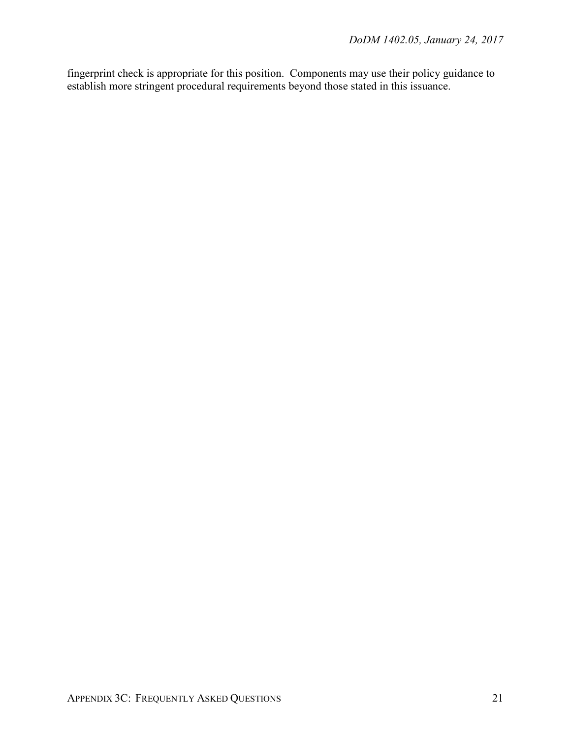fingerprint check is appropriate for this position. Components may use their policy guidance to establish more stringent procedural requirements beyond those stated in this issuance.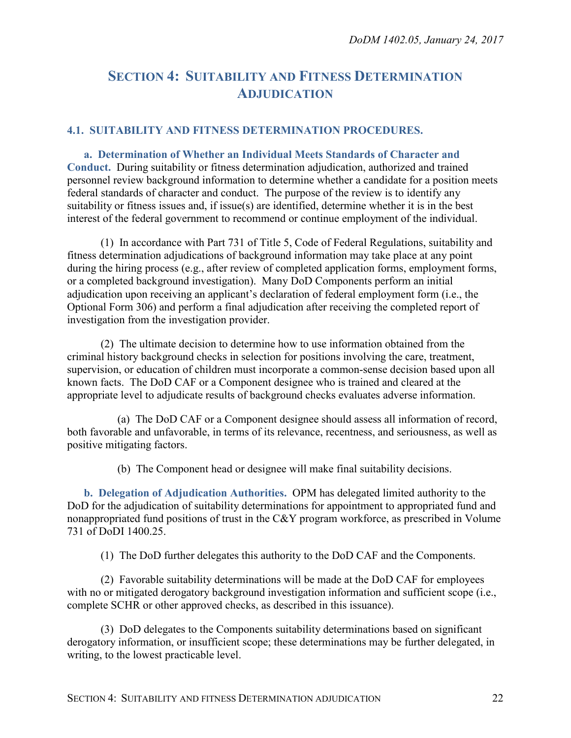# <span id="page-21-0"></span>**SECTION 4: SUITABILITY AND FITNESS DETERMINATION ADJUDICATION**

#### <span id="page-21-1"></span>**4.1. SUITABILITY AND FITNESS DETERMINATION PROCEDURES.**

<span id="page-21-2"></span>**a. Determination of Whether an Individual Meets Standards of Character and Conduct.** During suitability or fitness determination adjudication, authorized and trained personnel review background information to determine whether a candidate for a position meets federal standards of character and conduct. The purpose of the review is to identify any suitability or fitness issues and, if issue(s) are identified, determine whether it is in the best interest of the federal government to recommend or continue employment of the individual.

(1) In accordance with Part 731 of Title 5, Code of Federal Regulations, suitability and fitness determination adjudications of background information may take place at any point during the hiring process (e.g., after review of completed application forms, employment forms, or a completed background investigation). Many DoD Components perform an initial adjudication upon receiving an applicant's declaration of federal employment form (i.e., the Optional Form 306) and perform a final adjudication after receiving the completed report of investigation from the investigation provider.

(2) The ultimate decision to determine how to use information obtained from the criminal history background checks in selection for positions involving the care, treatment, supervision, or education of children must incorporate a common-sense decision based upon all known facts. The DoD CAF or a Component designee who is trained and cleared at the appropriate level to adjudicate results of background checks evaluates adverse information.

(a) The DoD CAF or a Component designee should assess all information of record, both favorable and unfavorable, in terms of its relevance, recentness, and seriousness, as well as positive mitigating factors.

(b) The Component head or designee will make final suitability decisions.

<span id="page-21-3"></span>**b. Delegation of Adjudication Authorities.** OPM has delegated limited authority to the DoD for the adjudication of suitability determinations for appointment to appropriated fund and nonappropriated fund positions of trust in the C&Y program workforce, as prescribed in Volume 731 of DoDI 1400.25.

(1) The DoD further delegates this authority to the DoD CAF and the Components.

(2) Favorable suitability determinations will be made at the DoD CAF for employees with no or mitigated derogatory background investigation information and sufficient scope (i.e., complete SCHR or other approved checks, as described in this issuance).

(3) DoD delegates to the Components suitability determinations based on significant derogatory information, or insufficient scope; these determinations may be further delegated, in writing, to the lowest practicable level.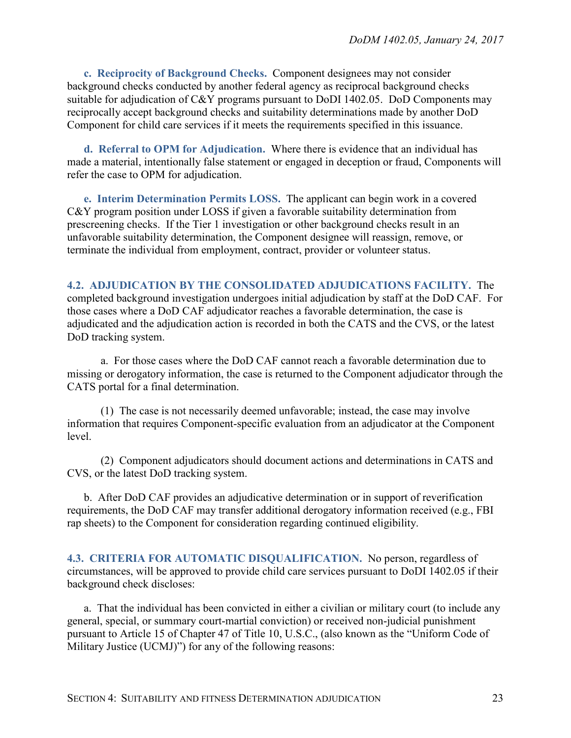<span id="page-22-0"></span>**c. Reciprocity of Background Checks.** Component designees may not consider background checks conducted by another federal agency as reciprocal background checks suitable for adjudication of C&Y programs pursuant to DoDI 1402.05. DoD Components may reciprocally accept background checks and suitability determinations made by another DoD Component for child care services if it meets the requirements specified in this issuance.

<span id="page-22-1"></span>**d. Referral to OPM for Adjudication.** Where there is evidence that an individual has made a material, intentionally false statement or engaged in deception or fraud, Components will refer the case to OPM for adjudication.

<span id="page-22-2"></span>**e. Interim Determination Permits LOSS.** The applicant can begin work in a covered C&Y program position under LOSS if given a favorable suitability determination from prescreening checks. If the Tier 1 investigation or other background checks result in an unfavorable suitability determination, the Component designee will reassign, remove, or terminate the individual from employment, contract, provider or volunteer status.

#### <span id="page-22-3"></span>**4.2. ADJUDICATION BY THE CONSOLIDATED ADJUDICATIONS FACILITY.** The

completed background investigation undergoes initial adjudication by staff at the DoD CAF. For those cases where a DoD CAF adjudicator reaches a favorable determination, the case is adjudicated and the adjudication action is recorded in both the CATS and the CVS, or the latest DoD tracking system.

a. For those cases where the DoD CAF cannot reach a favorable determination due to missing or derogatory information, the case is returned to the Component adjudicator through the CATS portal for a final determination.

(1) The case is not necessarily deemed unfavorable; instead, the case may involve information that requires Component-specific evaluation from an adjudicator at the Component level.

(2) Component adjudicators should document actions and determinations in CATS and CVS, or the latest DoD tracking system.

b. After DoD CAF provides an adjudicative determination or in support of reverification requirements, the DoD CAF may transfer additional derogatory information received (e.g., FBI rap sheets) to the Component for consideration regarding continued eligibility.

<span id="page-22-4"></span>**4.3. CRITERIA FOR AUTOMATIC DISQUALIFICATION.** No person, regardless of circumstances, will be approved to provide child care services pursuant to DoDI 1402.05 if their background check discloses:

a. That the individual has been convicted in either a civilian or military court (to include any general, special, or summary court-martial conviction) or received non-judicial punishment pursuant to Article 15 of Chapter 47 of Title 10, U.S.C., (also known as the "Uniform Code of Military Justice (UCMJ)") for any of the following reasons: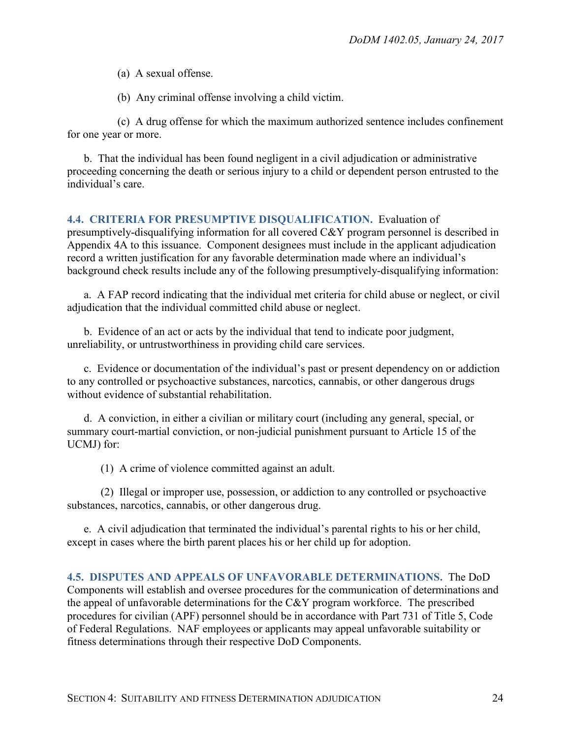(a) A sexual offense.

(b) Any criminal offense involving a child victim.

(c) A drug offense for which the maximum authorized sentence includes confinement for one year or more.

b. That the individual has been found negligent in a civil adjudication or administrative proceeding concerning the death or serious injury to a child or dependent person entrusted to the individual's care.

#### <span id="page-23-0"></span>**4.4. CRITERIA FOR PRESUMPTIVE DISQUALIFICATION.** Evaluation of

presumptively-disqualifying information for all covered C&Y program personnel is described in Appendix 4A to this issuance. Component designees must include in the applicant adjudication record a written justification for any favorable determination made where an individual's background check results include any of the following presumptively-disqualifying information:

a. A FAP record indicating that the individual met criteria for child abuse or neglect, or civil adjudication that the individual committed child abuse or neglect.

b. Evidence of an act or acts by the individual that tend to indicate poor judgment, unreliability, or untrustworthiness in providing child care services.

c. Evidence or documentation of the individual's past or present dependency on or addiction to any controlled or psychoactive substances, narcotics, cannabis, or other dangerous drugs without evidence of substantial rehabilitation.

d. A conviction, in either a civilian or military court (including any general, special, or summary court-martial conviction, or non-judicial punishment pursuant to Article 15 of the UCMJ) for:

(1) A crime of violence committed against an adult.

(2) Illegal or improper use, possession, or addiction to any controlled or psychoactive substances, narcotics, cannabis, or other dangerous drug.

e. A civil adjudication that terminated the individual's parental rights to his or her child, except in cases where the birth parent places his or her child up for adoption.

<span id="page-23-1"></span>**4.5. DISPUTES AND APPEALS OF UNFAVORABLE DETERMINATIONS.** The DoD Components will establish and oversee procedures for the communication of determinations and the appeal of unfavorable determinations for the C&Y program workforce. The prescribed procedures for civilian (APF) personnel should be in accordance with Part 731 of Title 5, Code of Federal Regulations. NAF employees or applicants may appeal unfavorable suitability or fitness determinations through their respective DoD Components.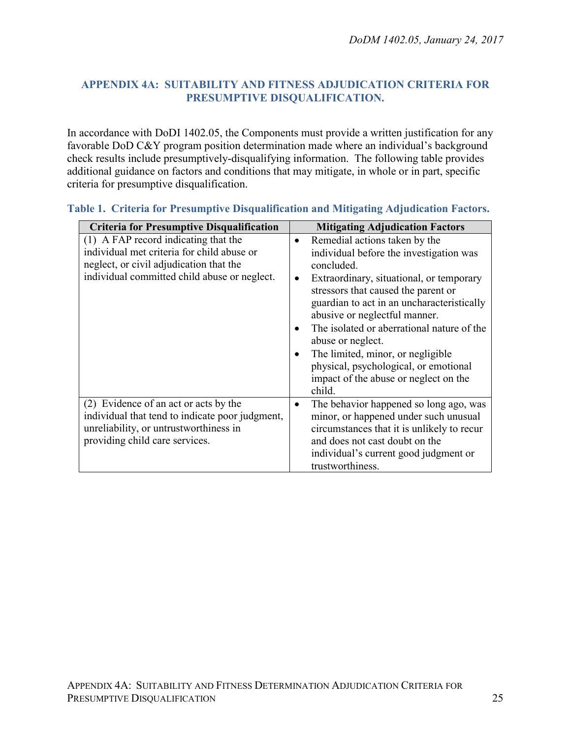## <span id="page-24-0"></span>**APPENDIX 4A: SUITABILITY AND FITNESS ADJUDICATION CRITERIA FOR PRESUMPTIVE DISQUALIFICATION.**

In accordance with DoDI 1402.05, the Components must provide a written justification for any favorable DoD C&Y program position determination made where an individual's background check results include presumptively-disqualifying information. The following table provides additional guidance on factors and conditions that may mitigate, in whole or in part, specific criteria for presumptive disqualification.

| <b>Criteria for Presumptive Disqualification</b>                                                                                                                              | <b>Mitigating Adjudication Factors</b>                                                                                                                                                                                                                                                                                                                                                                                                                                                                           |
|-------------------------------------------------------------------------------------------------------------------------------------------------------------------------------|------------------------------------------------------------------------------------------------------------------------------------------------------------------------------------------------------------------------------------------------------------------------------------------------------------------------------------------------------------------------------------------------------------------------------------------------------------------------------------------------------------------|
| (1) A FAP record indicating that the<br>individual met criteria for child abuse or<br>neglect, or civil adjudication that the<br>individual committed child abuse or neglect. | Remedial actions taken by the<br>$\bullet$<br>individual before the investigation was<br>concluded.<br>Extraordinary, situational, or temporary<br>$\bullet$<br>stressors that caused the parent or<br>guardian to act in an uncharacteristically<br>abusive or neglectful manner.<br>The isolated or aberrational nature of the<br>$\bullet$<br>abuse or neglect.<br>The limited, minor, or negligible<br>$\bullet$<br>physical, psychological, or emotional<br>impact of the abuse or neglect on the<br>child. |
| (2) Evidence of an act or acts by the<br>individual that tend to indicate poor judgment,<br>unreliability, or untrustworthiness in<br>providing child care services.          | The behavior happened so long ago, was<br>$\bullet$<br>minor, or happened under such unusual<br>circumstances that it is unlikely to recur<br>and does not cast doubt on the<br>individual's current good judgment or<br>trustworthiness.                                                                                                                                                                                                                                                                        |

## **Table 1. Criteria for Presumptive Disqualification and Mitigating Adjudication Factors.**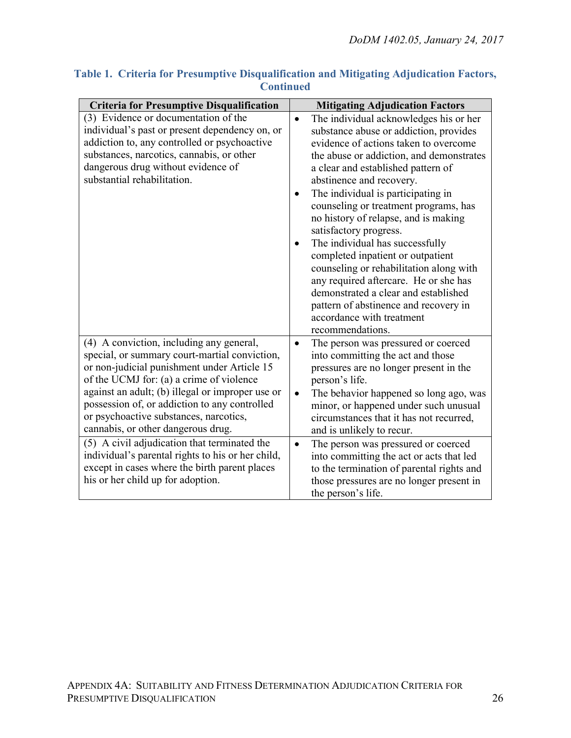| <b>Criteria for Presumptive Disqualification</b>                                                                                                                                                                                                                                                                                                                                                                                                                                                                                                                     | <b>Mitigating Adjudication Factors</b>                                                                                                                                                                                                                                                                                                                                                                                                                                                                                                                                                                                                                                                                           |
|----------------------------------------------------------------------------------------------------------------------------------------------------------------------------------------------------------------------------------------------------------------------------------------------------------------------------------------------------------------------------------------------------------------------------------------------------------------------------------------------------------------------------------------------------------------------|------------------------------------------------------------------------------------------------------------------------------------------------------------------------------------------------------------------------------------------------------------------------------------------------------------------------------------------------------------------------------------------------------------------------------------------------------------------------------------------------------------------------------------------------------------------------------------------------------------------------------------------------------------------------------------------------------------------|
| (3) Evidence or documentation of the<br>individual's past or present dependency on, or<br>addiction to, any controlled or psychoactive<br>substances, narcotics, cannabis, or other<br>dangerous drug without evidence of<br>substantial rehabilitation.                                                                                                                                                                                                                                                                                                             | The individual acknowledges his or her<br>$\bullet$<br>substance abuse or addiction, provides<br>evidence of actions taken to overcome<br>the abuse or addiction, and demonstrates<br>a clear and established pattern of<br>abstinence and recovery.<br>The individual is participating in<br>counseling or treatment programs, has<br>no history of relapse, and is making<br>satisfactory progress.<br>The individual has successfully<br>$\bullet$<br>completed inpatient or outpatient<br>counseling or rehabilitation along with<br>any required aftercare. He or she has<br>demonstrated a clear and established<br>pattern of abstinence and recovery in<br>accordance with treatment<br>recommendations. |
| (4) A conviction, including any general,<br>special, or summary court-martial conviction,<br>or non-judicial punishment under Article 15<br>of the UCMJ for: (a) a crime of violence<br>against an adult; (b) illegal or improper use or<br>possession of, or addiction to any controlled<br>or psychoactive substances, narcotics,<br>cannabis, or other dangerous drug.<br>(5) A civil adjudication that terminated the<br>individual's parental rights to his or her child,<br>except in cases where the birth parent places<br>his or her child up for adoption. | The person was pressured or coerced<br>$\bullet$<br>into committing the act and those<br>pressures are no longer present in the<br>person's life.<br>The behavior happened so long ago, was<br>$\bullet$<br>minor, or happened under such unusual<br>circumstances that it has not recurred,<br>and is unlikely to recur.<br>The person was pressured or coerced<br>$\bullet$<br>into committing the act or acts that led<br>to the termination of parental rights and<br>those pressures are no longer present in<br>the person's life.                                                                                                                                                                         |

## **Table 1. Criteria for Presumptive Disqualification and Mitigating Adjudication Factors, Continued**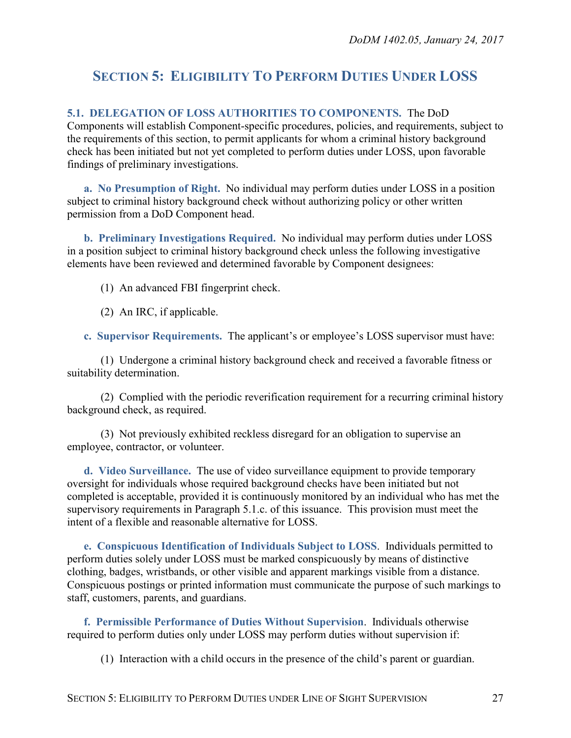# <span id="page-26-0"></span>**SECTION 5: ELIGIBILITY TO PERFORM DUTIES UNDER LOSS**

## <span id="page-26-1"></span>**5.1. DELEGATION OF LOSS AUTHORITIES TO COMPONENTS.** The DoD

Components will establish Component-specific procedures, policies, and requirements, subject to the requirements of this section, to permit applicants for whom a criminal history background check has been initiated but not yet completed to perform duties under LOSS, upon favorable findings of preliminary investigations.

<span id="page-26-2"></span>**a. No Presumption of Right.** No individual may perform duties under LOSS in a position subject to criminal history background check without authorizing policy or other written permission from a DoD Component head.

<span id="page-26-3"></span>**b. Preliminary Investigations Required.** No individual may perform duties under LOSS in a position subject to criminal history background check unless the following investigative elements have been reviewed and determined favorable by Component designees:

(1) An advanced FBI fingerprint check.

(2) An IRC, if applicable.

<span id="page-26-4"></span>**c. Supervisor Requirements.** The applicant's or employee's LOSS supervisor must have:

(1) Undergone a criminal history background check and received a favorable fitness or suitability determination.

(2) Complied with the periodic reverification requirement for a recurring criminal history background check, as required.

(3) Not previously exhibited reckless disregard for an obligation to supervise an employee, contractor, or volunteer.

<span id="page-26-5"></span>**d. Video Surveillance.** The use of video surveillance equipment to provide temporary oversight for individuals whose required background checks have been initiated but not completed is acceptable, provided it is continuously monitored by an individual who has met the supervisory requirements in Paragraph 5.1.c. of this issuance. This provision must meet the intent of a flexible and reasonable alternative for LOSS.

<span id="page-26-6"></span>**e. Conspicuous Identification of Individuals Subject to LOSS**.Individuals permitted to perform duties solely under LOSS must be marked conspicuously by means of distinctive clothing, badges, wristbands, or other visible and apparent markings visible from a distance. Conspicuous postings or printed information must communicate the purpose of such markings to staff, customers, parents, and guardians.

<span id="page-26-7"></span>**f. Permissible Performance of Duties Without Supervision**.Individuals otherwise required to perform duties only under LOSS may perform duties without supervision if:

(1) Interaction with a child occurs in the presence of the child's parent or guardian.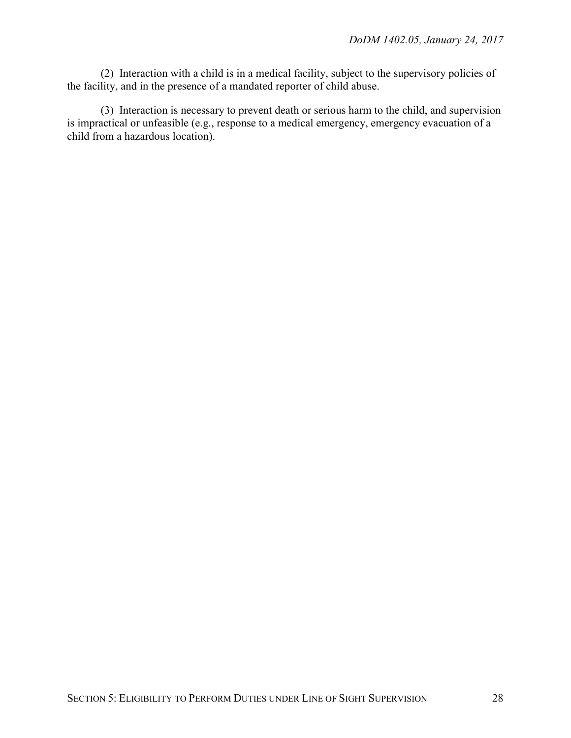(2) Interaction with a child is in a medical facility, subject to the supervisory policies of the facility, and in the presence of a mandated reporter of child abuse.

(3) Interaction is necessary to prevent death or serious harm to the child, and supervision is impractical or unfeasible (e.g., response to a medical emergency, emergency evacuation of a child from a hazardous location).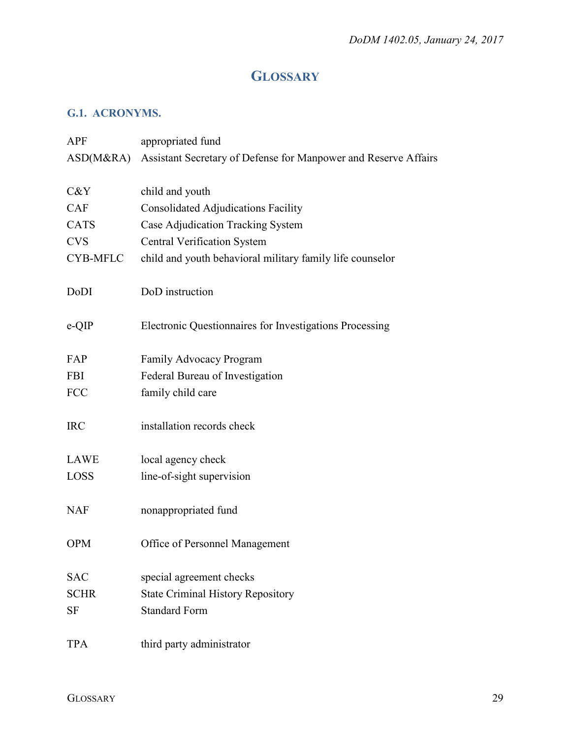# **GLOSSARY**

# <span id="page-28-1"></span><span id="page-28-0"></span>**G.1. ACRONYMS.**

| APF             | appropriated fund                                               |
|-----------------|-----------------------------------------------------------------|
| ASD(M&RA)       | Assistant Secretary of Defense for Manpower and Reserve Affairs |
|                 |                                                                 |
| C&Y             | child and youth                                                 |
| <b>CAF</b>      | <b>Consolidated Adjudications Facility</b>                      |
| <b>CATS</b>     | Case Adjudication Tracking System                               |
| <b>CVS</b>      | <b>Central Verification System</b>                              |
| <b>CYB-MFLC</b> | child and youth behavioral military family life counselor       |
|                 |                                                                 |
| DoDI            | DoD instruction                                                 |
|                 |                                                                 |
| e-QIP           | Electronic Questionnaires for Investigations Processing         |
|                 |                                                                 |
| FAP             | <b>Family Advocacy Program</b>                                  |
| <b>FBI</b>      | Federal Bureau of Investigation                                 |
| <b>FCC</b>      | family child care                                               |
|                 |                                                                 |
| <b>IRC</b>      | installation records check                                      |
|                 |                                                                 |
| LAWE            | local agency check                                              |
| <b>LOSS</b>     | line-of-sight supervision                                       |
|                 |                                                                 |
| <b>NAF</b>      | nonappropriated fund                                            |
|                 |                                                                 |
| <b>OPM</b>      | Office of Personnel Management                                  |
|                 |                                                                 |
| <b>SAC</b>      | special agreement checks                                        |
| <b>SCHR</b>     | <b>State Criminal History Repository</b>                        |
| SF              | <b>Standard Form</b>                                            |
|                 |                                                                 |
| <b>TPA</b>      | third party administrator                                       |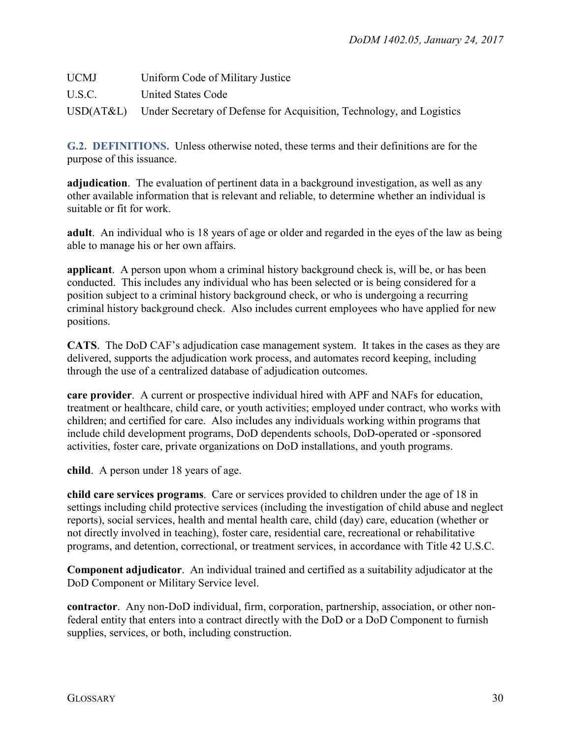| <b>UCMJ</b> | Uniform Code of Military Justice                                                |
|-------------|---------------------------------------------------------------------------------|
| U.S.C.      | United States Code                                                              |
|             | USD(AT&L) Under Secretary of Defense for Acquisition, Technology, and Logistics |

<span id="page-29-0"></span>**G.2. DEFINITIONS.** Unless otherwise noted, these terms and their definitions are for the purpose of this issuance.

**adjudication**. The evaluation of pertinent data in a background investigation, as well as any other available information that is relevant and reliable, to determine whether an individual is suitable or fit for work.

**adult**. An individual who is 18 years of age or older and regarded in the eyes of the law as being able to manage his or her own affairs.

**applicant**. A person upon whom a criminal history background check is, will be, or has been conducted. This includes any individual who has been selected or is being considered for a position subject to a criminal history background check, or who is undergoing a recurring criminal history background check. Also includes current employees who have applied for new positions.

**CATS**. The DoD CAF's adjudication case management system. It takes in the cases as they are delivered, supports the adjudication work process, and automates record keeping, including through the use of a centralized database of adjudication outcomes.

**care provider**. A current or prospective individual hired with APF and NAFs for education, treatment or healthcare, child care, or youth activities; employed under contract, who works with children; and certified for care. Also includes any individuals working within programs that include child development programs, DoD dependents schools, DoD-operated or -sponsored activities, foster care, private organizations on DoD installations, and youth programs.

**child**. A person under 18 years of age.

**child care services programs**. Care or services provided to children under the age of 18 in settings including child protective services (including the investigation of child abuse and neglect reports), social services, health and mental health care, child (day) care, education (whether or not directly involved in teaching), foster care, residential care, recreational or rehabilitative programs, and detention, correctional, or treatment services, in accordance with Title 42 U.S.C.

**Component adjudicator**. An individual trained and certified as a suitability adjudicator at the DoD Component or Military Service level.

**contractor**. Any non-DoD individual, firm, corporation, partnership, association, or other nonfederal entity that enters into a contract directly with the DoD or a DoD Component to furnish supplies, services, or both, including construction.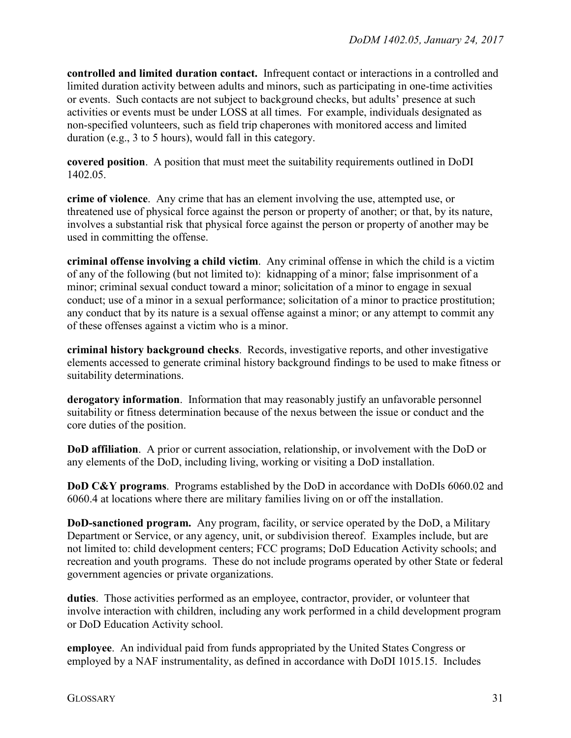**controlled and limited duration contact.** Infrequent contact or interactions in a controlled and limited duration activity between adults and minors, such as participating in one-time activities or events. Such contacts are not subject to background checks, but adults' presence at such activities or events must be under LOSS at all times. For example, individuals designated as non-specified volunteers, such as field trip chaperones with monitored access and limited duration (e.g., 3 to 5 hours), would fall in this category.

**covered position**. A position that must meet the suitability requirements outlined in DoDI 1402.05.

**crime of violence**. Any crime that has an element involving the use, attempted use, or threatened use of physical force against the person or property of another; or that, by its nature, involves a substantial risk that physical force against the person or property of another may be used in committing the offense.

**criminal offense involving a child victim**. Any criminal offense in which the child is a victim of any of the following (but not limited to): kidnapping of a minor; false imprisonment of a minor; criminal sexual conduct toward a minor; solicitation of a minor to engage in sexual conduct; use of a minor in a sexual performance; solicitation of a minor to practice prostitution; any conduct that by its nature is a sexual offense against a minor; or any attempt to commit any of these offenses against a victim who is a minor.

**criminal history background checks**. Records, investigative reports, and other investigative elements accessed to generate criminal history background findings to be used to make fitness or suitability determinations.

**derogatory information**. Information that may reasonably justify an unfavorable personnel suitability or fitness determination because of the nexus between the issue or conduct and the core duties of the position.

**DoD affiliation**. A prior or current association, relationship, or involvement with the DoD or any elements of the DoD, including living, working or visiting a DoD installation.

**DoD C&Y programs**. Programs established by the DoD in accordance with DoDIs 6060.02 and 6060.4 at locations where there are military families living on or off the installation.

**DoD-sanctioned program.** Any program, facility, or service operated by the DoD, a Military Department or Service, or any agency, unit, or subdivision thereof. Examples include, but are not limited to: child development centers; FCC programs; DoD Education Activity schools; and recreation and youth programs. These do not include programs operated by other State or federal government agencies or private organizations.

**duties**. Those activities performed as an employee, contractor, provider, or volunteer that involve interaction with children, including any work performed in a child development program or DoD Education Activity school.

**employee**. An individual paid from funds appropriated by the United States Congress or employed by a NAF instrumentality, as defined in accordance with DoDI 1015.15. Includes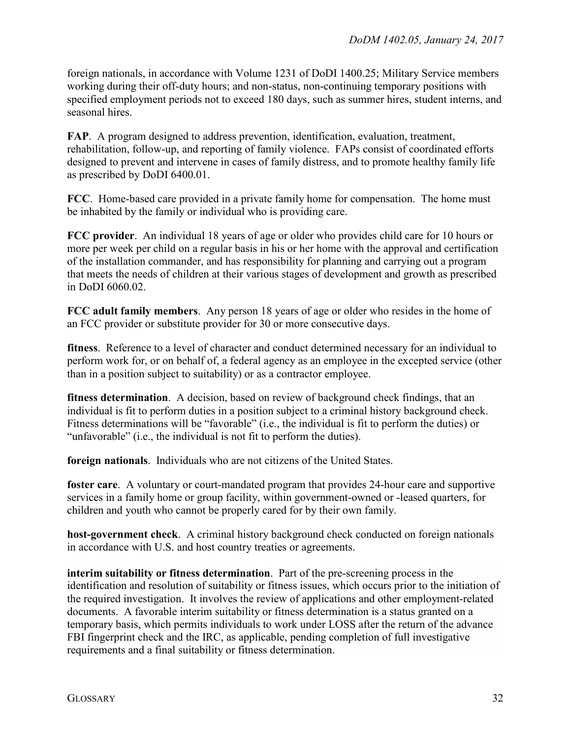foreign nationals, in accordance with Volume 1231 of DoDI 1400.25; Military Service members working during their off-duty hours; and non-status, non-continuing temporary positions with specified employment periods not to exceed 180 days, such as summer hires, student interns, and seasonal hires.

**FAP**. A program designed to address prevention, identification, evaluation, treatment, rehabilitation, follow-up, and reporting of family violence. FAPs consist of coordinated efforts designed to prevent and intervene in cases of family distress, and to promote healthy family life as prescribed by DoDI 6400.01.

**FCC**. Home-based care provided in a private family home for compensation. The home must be inhabited by the family or individual who is providing care.

**FCC provider**. An individual 18 years of age or older who provides child care for 10 hours or more per week per child on a regular basis in his or her home with the approval and certification of the installation commander, and has responsibility for planning and carrying out a program that meets the needs of children at their various stages of development and growth as prescribed in DoDI 6060.02.

**FCC adult family members**. Any person 18 years of age or older who resides in the home of an FCC provider or substitute provider for 30 or more consecutive days.

**fitness**. Reference to a level of character and conduct determined necessary for an individual to perform work for, or on behalf of, a federal agency as an employee in the excepted service (other than in a position subject to suitability) or as a contractor employee.

**fitness determination.** A decision, based on review of background check findings, that an individual is fit to perform duties in a position subject to a criminal history background check. Fitness determinations will be "favorable" (i.e., the individual is fit to perform the duties) or "unfavorable" (i.e., the individual is not fit to perform the duties).

**foreign nationals**. Individuals who are not citizens of the United States.

**foster care**. A voluntary or court-mandated program that provides 24-hour care and supportive services in a family home or group facility, within government-owned or -leased quarters, for children and youth who cannot be properly cared for by their own family.

**host-government check**. A criminal history background check conducted on foreign nationals in accordance with U.S. and host country treaties or agreements.

**interim suitability or fitness determination**. Part of the pre-screening process in the identification and resolution of suitability or fitness issues, which occurs prior to the initiation of the required investigation. It involves the review of applications and other employment-related documents. A favorable interim suitability or fitness determination is a status granted on a temporary basis, which permits individuals to work under LOSS after the return of the advance FBI fingerprint check and the IRC, as applicable, pending completion of full investigative requirements and a final suitability or fitness determination.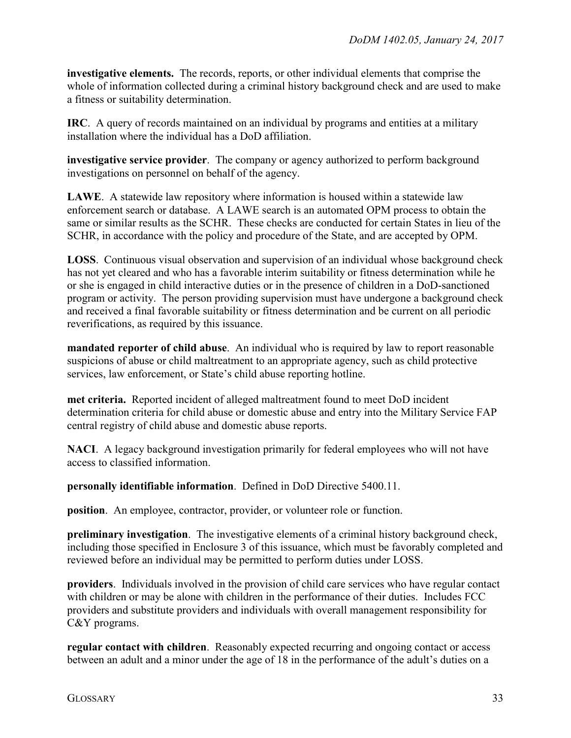**investigative elements.** The records, reports, or other individual elements that comprise the whole of information collected during a criminal history background check and are used to make a fitness or suitability determination.

**IRC**. A query of records maintained on an individual by programs and entities at a military installation where the individual has a DoD affiliation.

**investigative service provider**. The company or agency authorized to perform background investigations on personnel on behalf of the agency.

**LAWE**. A statewide law repository where information is housed within a statewide law enforcement search or database. A LAWE search is an automated OPM process to obtain the same or similar results as the SCHR. These checks are conducted for certain States in lieu of the SCHR, in accordance with the policy and procedure of the State, and are accepted by OPM.

**LOSS**. Continuous visual observation and supervision of an individual whose background check has not yet cleared and who has a favorable interim suitability or fitness determination while he or she is engaged in child interactive duties or in the presence of children in a DoD-sanctioned program or activity. The person providing supervision must have undergone a background check and received a final favorable suitability or fitness determination and be current on all periodic reverifications, as required by this issuance.

**mandated reporter of child abuse**. An individual who is required by law to report reasonable suspicions of abuse or child maltreatment to an appropriate agency, such as child protective services, law enforcement, or State's child abuse reporting hotline.

**met criteria.** Reported incident of alleged maltreatment found to meet DoD incident determination criteria for child abuse or domestic abuse and entry into the Military Service FAP central registry of child abuse and domestic abuse reports.

**NACI**. A legacy background investigation primarily for federal employees who will not have access to classified information.

**personally identifiable information**. Defined in DoD Directive 5400.11.

**position**. An employee, contractor, provider, or volunteer role or function.

**preliminary investigation.** The investigative elements of a criminal history background check, including those specified in Enclosure 3 of this issuance, which must be favorably completed and reviewed before an individual may be permitted to perform duties under LOSS.

**providers**. Individuals involved in the provision of child care services who have regular contact with children or may be alone with children in the performance of their duties. Includes FCC providers and substitute providers and individuals with overall management responsibility for C&Y programs.

**regular contact with children**. Reasonably expected recurring and ongoing contact or access between an adult and a minor under the age of 18 in the performance of the adult's duties on a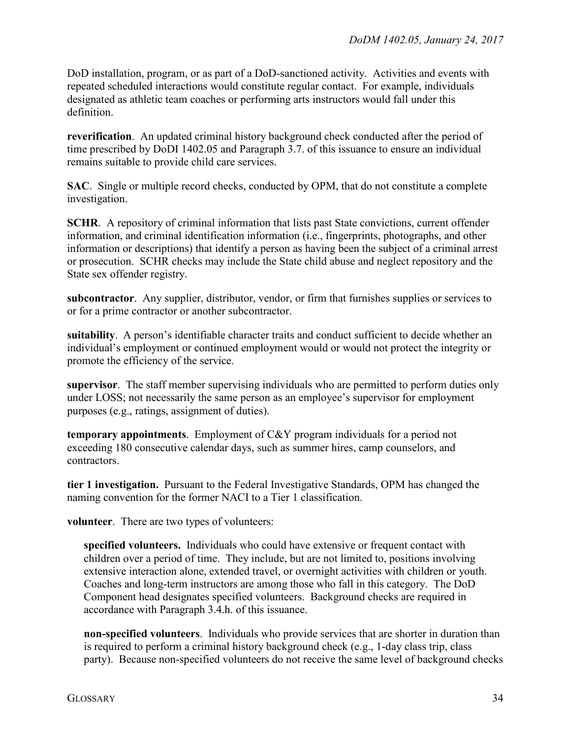DoD installation, program, or as part of a DoD-sanctioned activity. Activities and events with repeated scheduled interactions would constitute regular contact. For example, individuals designated as athletic team coaches or performing arts instructors would fall under this definition.

**reverification**. An updated criminal history background check conducted after the period of time prescribed by DoDI 1402.05 and Paragraph 3.7. of this issuance to ensure an individual remains suitable to provide child care services.

**SAC**. Single or multiple record checks, conducted by OPM, that do not constitute a complete investigation.

**SCHR.** A repository of criminal information that lists past State convictions, current offender information, and criminal identification information (i.e., fingerprints, photographs, and other information or descriptions) that identify a person as having been the subject of a criminal arrest or prosecution. SCHR checks may include the State child abuse and neglect repository and the State sex offender registry.

**subcontractor**. Any supplier, distributor, vendor, or firm that furnishes supplies or services to or for a prime contractor or another subcontractor.

**suitability**. A person's identifiable character traits and conduct sufficient to decide whether an individual's employment or continued employment would or would not protect the integrity or promote the efficiency of the service.

**supervisor**. The staff member supervising individuals who are permitted to perform duties only under LOSS; not necessarily the same person as an employee's supervisor for employment purposes (e.g., ratings, assignment of duties).

**temporary appointments**. Employment of C&Y program individuals for a period not exceeding 180 consecutive calendar days, such as summer hires, camp counselors, and contractors.

**tier 1 investigation.** Pursuant to the Federal Investigative Standards, OPM has changed the naming convention for the former NACI to a Tier 1 classification.

**volunteer**. There are two types of volunteers:

**specified volunteers.** Individuals who could have extensive or frequent contact with children over a period of time. They include, but are not limited to, positions involving extensive interaction alone, extended travel, or overnight activities with children or youth. Coaches and long-term instructors are among those who fall in this category. The DoD Component head designates specified volunteers. Background checks are required in accordance with Paragraph 3.4.h. of this issuance.

**non-specified volunteers**. Individuals who provide services that are shorter in duration than is required to perform a criminal history background check (e.g., 1-day class trip, class party). Because non-specified volunteers do not receive the same level of background checks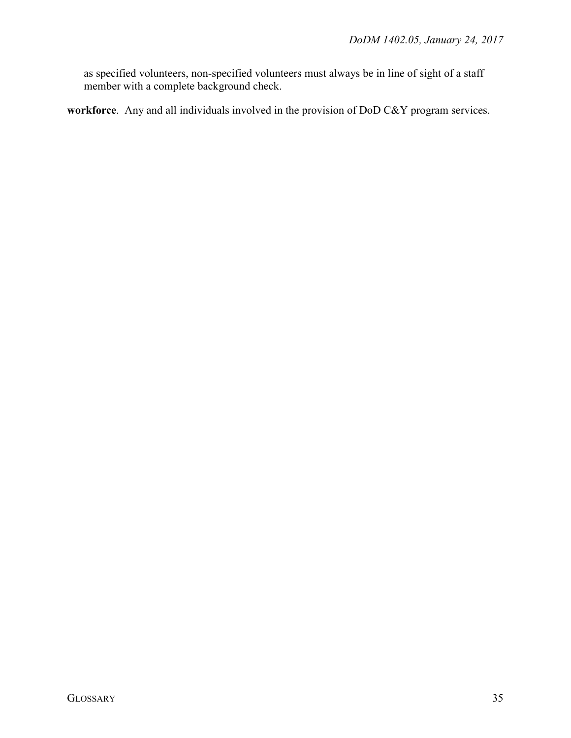as specified volunteers, non-specified volunteers must always be in line of sight of a staff member with a complete background check.

**workforce**. Any and all individuals involved in the provision of DoD C&Y program services.